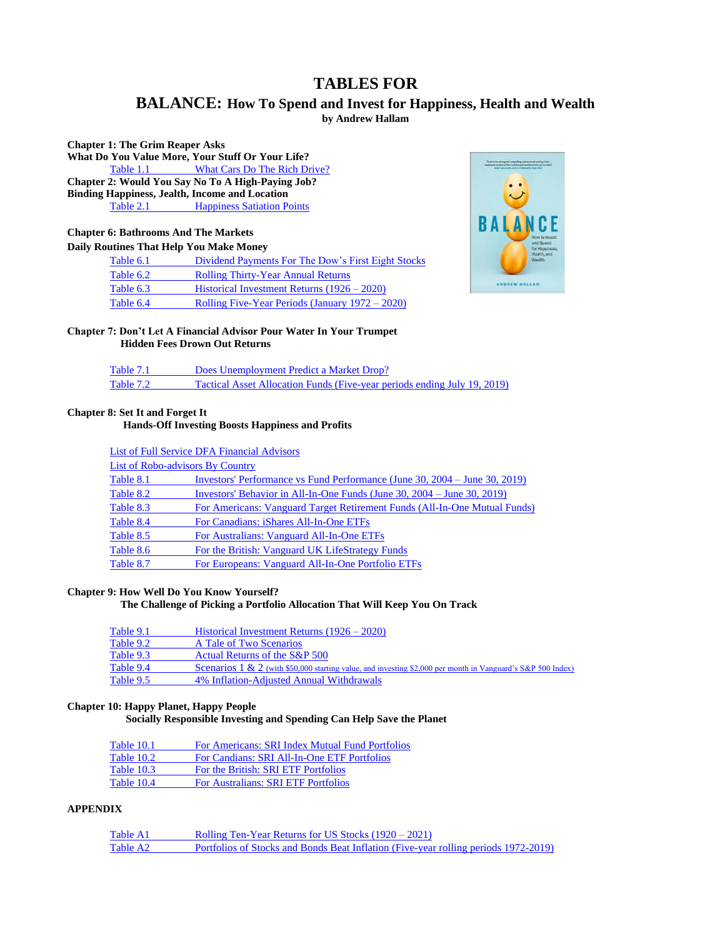## **TABLES FOR**

### **BALANCE: How To Spend and Invest for Happiness, Health and Wealth by Andrew Hallam**

<span id="page-0-0"></span>**Chapter 1: The Grim Reaper Asks What Do You Value More, Your Stuff Or Your Life?**<br>Table 1.1 **What Cars Do The Rich Drive?** Table 1.1 [What Cars Do The Rich Drive?](#page-1-0) **Chapter 2: Would You Say No To A High-Paying Job? Binding Happiness, Jealth, Income and Location Table 2.1** [Happiness Satiation Points](#page-3-0)

# **Chapter 6: Bathrooms And The Markets**

**Daily Routines That Help You Make Money**

| tor rappines<br>Health, and |
|-----------------------------|
| Wealth                      |
|                             |
| ANDREW HALLAM               |
|                             |
|                             |



## **Chapter 7: Don't Let A Financial Advisor Pour Water In Your Trumpet**

 **Hidden Fees Drown Out Returns**

| Table 7.1 | Does Unemployment Predict a Market Drop?                                 |
|-----------|--------------------------------------------------------------------------|
| Table 7.2 | Tactical Asset Allocation Funds (Five-year periods ending July 19, 2019) |

### **Chapter 8: Set It and Forget It**

### **Hands-Off Investing Boosts Happiness and Profits**

|                                         | <b>List of Full Service DFA Financial Advisors</b>                         |
|-----------------------------------------|----------------------------------------------------------------------------|
| <b>List of Robo-advisors By Country</b> |                                                                            |
| Table 8.1                               | Investors' Performance vs Fund Performance (June 30, 2004 – June 30, 2019) |
| Table 8.2                               | Investors' Behavior in All-In-One Funds (June 30, 2004 – June 30, 2019)    |
| Table 8.3                               | For Americans: Vanguard Target Retirement Funds (All-In-One Mutual Funds)  |
| Table 8.4                               | For Canadians: iShares All-In-One ETFs                                     |
| Table 8.5                               | For Australians: Vanguard All-In-One ETFs                                  |
| Table 8.6                               | For the British: Vanguard UK LifeStrategy Funds                            |
| Table 8.7                               | For Europeans: Vanguard All-In-One Portfolio ETFs                          |

### **Chapter 9: How Well Do You Know Yourself?**

### **The Challenge of Picking a Portfolio Allocation That Will Keep You On Track**

| Table 9.1 | Historical Investment Returns $(1926 - 2020)$                                                                      |
|-----------|--------------------------------------------------------------------------------------------------------------------|
| Table 9.2 | A Tale of Two Scenarios                                                                                            |
| Table 9.3 | Actual Returns of the S&P 500                                                                                      |
| Table 9.4 | <b>Scenarios</b> 1 & 2 (with \$50,000 starting value, and investing \$2,000 per month in Vanguard's S&P 500 Index) |
| Table 9.5 | 4% Inflation-Adjusted Annual Withdrawals                                                                           |

### **Chapter 10: Happy Planet, Happy People**

### **Socially Responsible Investing and Spending Can Help Save the Planet**

| Table 10.1 | For Americans: SRI Index Mutual Fund Portfolios |
|------------|-------------------------------------------------|
| Table 10.2 | For Candians: SRI All-In-One ETF Portfolios     |
| Table 10.3 | For the British: SRI ETF Portfolios             |
| Table 10.4 | <b>For Australians: SRI ETF Portfolios</b>      |

### **APPENDIX**

| Table A1 | Rolling Ten-Year Returns for US Stocks (1920 – 2021)                                |
|----------|-------------------------------------------------------------------------------------|
| Table A2 | Portfolios of Stocks and Bonds Beat Inflation (Five-year rolling periods 1972-2019) |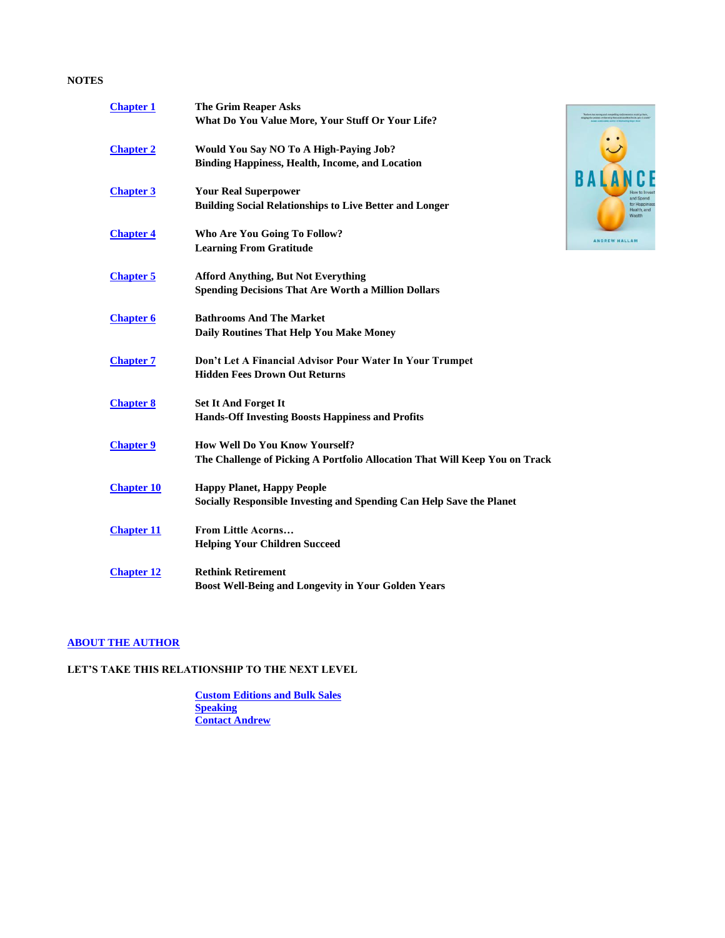### **NOTES**

| <b>Chapter 1</b>  | <b>The Grim Reaper Asks</b>                                                 |
|-------------------|-----------------------------------------------------------------------------|
|                   | What Do You Value More, Your Stuff Or Your Life?                            |
| <b>Chapter 2</b>  | <b>Would You Say NO To A High-Paying Job?</b>                               |
|                   | <b>Binding Happiness, Health, Income, and Location</b>                      |
| <b>Chapter 3</b>  | <b>Your Real Superpower</b>                                                 |
|                   | <b>Building Social Relationships to Live Better and Longer</b>              |
| <b>Chapter 4</b>  | Who Are You Going To Follow?                                                |
|                   | <b>Learning From Gratitude</b>                                              |
| <b>Chapter 5</b>  | <b>Afford Anything, But Not Everything</b>                                  |
|                   | <b>Spending Decisions That Are Worth a Million Dollars</b>                  |
| <b>Chapter 6</b>  | <b>Bathrooms And The Market</b>                                             |
|                   | Daily Routines That Help You Make Money                                     |
| <b>Chapter 7</b>  | Don't Let A Financial Advisor Pour Water In Your Trumpet                    |
|                   | <b>Hidden Fees Drown Out Returns</b>                                        |
| <b>Chapter 8</b>  | <b>Set It And Forget It</b>                                                 |
|                   | <b>Hands-Off Investing Boosts Happiness and Profits</b>                     |
| <b>Chapter 9</b>  | <b>How Well Do You Know Yourself?</b>                                       |
|                   | The Challenge of Picking A Portfolio Allocation That Will Keep You on Track |
| <b>Chapter 10</b> | <b>Happy Planet, Happy People</b>                                           |
|                   | Socially Responsible Investing and Spending Can Help Save the Planet        |
| <b>Chapter 11</b> | <b>From Little Acorns</b>                                                   |
|                   | <b>Helping Your Children Succeed</b>                                        |
| <b>Chapter 12</b> | <b>Rethink Retirement</b>                                                   |
|                   | <b>Boost Well-Being and Longevity in Your Golden Years</b>                  |

. To short but strong and compelling coders<br>amont could go bent, singing the praises of this very fine and causile<br>at book, yes it could

ANDREW HALLAN

 $B/$ 

### **[ABOUT THE AUTHOR](#page-33-0)**

### **LET'S TAKE THIS RELATIONSHIP TO THE NEXT LEVEL**

<span id="page-1-0"></span>**[Custom Editions and Bulk Sales](#page-33-1)** *[Speaking](#page-34-0)* **[Contact Andrew](#page-34-1)**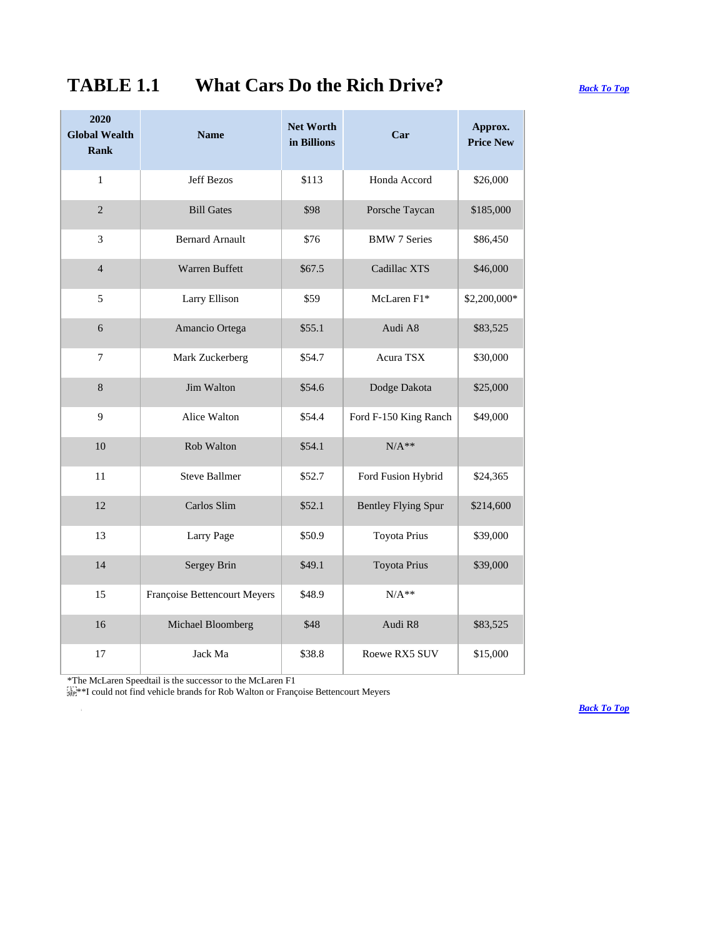## **TABLE 1.1 What Cars Do the Rich Drive?** *[Back To Top](#page-0-0)*

## **2020 Global Wealth Rank Name Net Worth in Billions Car Approx. Price New** 1 **Jeff Bezos** | \$113 | Honda Accord | \$26,000 2 Bill Gates \$98 Porsche Taycan \$185,000 3 Bernard Arnault 1 \$76 BMW 7 Series \$86,450 4 Warren Buffett \$67.5 Cadillac XTS \$46,000 5 | Larry Ellison | \$59 | McLaren F1\* | \$2,200,000\* 6 Amancio Ortega | \$55.1 | Audi A8 | \$83,525 7 | Mark Zuckerberg | \$54.7 | Acura TSX | \$30,000 8 Jim Walton \$54.6 Dodge Dakota \$25,000 9 Alice Walton \$54.4 Ford F-150 King Ranch \$49,000  $10$  Rob Walton  $$54.1$  N/A<sup>\*\*</sup> 11 Steve Ballmer | \$52.7 | Ford Fusion Hybrid | \$24,365 12 Carlos Slim \$52.1 Bentley Flying Spur \$214,600 13 **Larry Page** 850.9 Toyota Prius \$39,000 14 Sergey Brin | \$49.1 Toyota Prius | \$39,000 15 Françoise Bettencourt Meyers | \$48.9 N/A<sup>\*\*</sup> 16 Michael Bloomberg | \$48 | Audi R8 | \$83,525 17 **Jack Ma \$38.8** Roewe RX5 SUV \$15,000

\*The McLaren Speedtail is the successor to the McLaren F1

\*\*I could not find vehicle brands for Rob Walton or Françoise Bettencourt Meyers

*[Back To Top](#page-0-0)*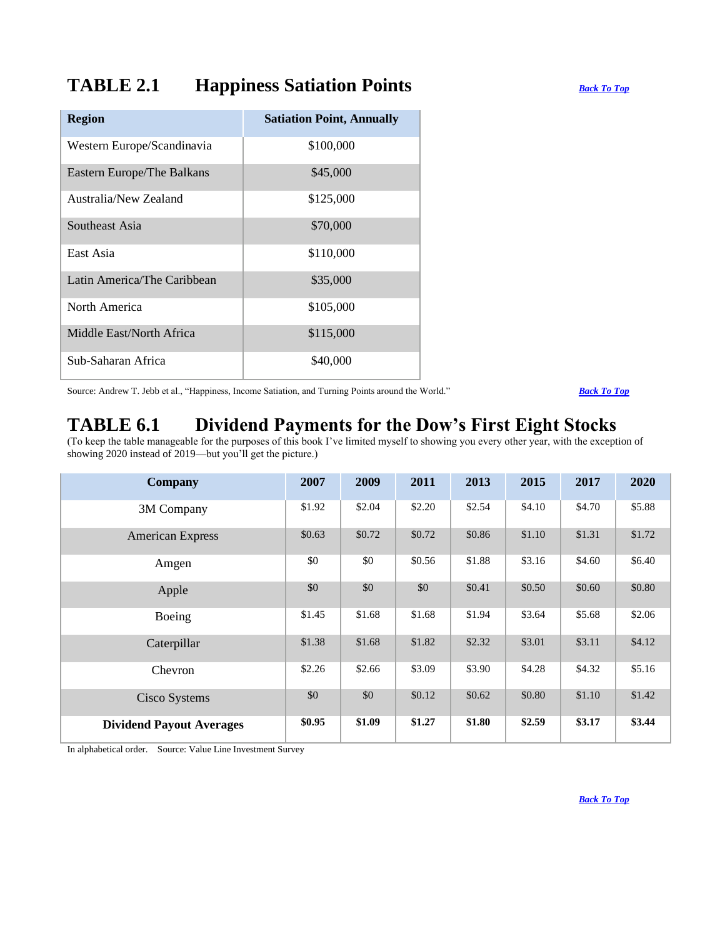## <span id="page-3-0"></span>**TABLE 2.1 Happiness Satiation Points** *[Back To Top](#page-0-0)*

| <b>Region</b>               | <b>Satiation Point, Annually</b> |
|-----------------------------|----------------------------------|
| Western Europe/Scandinavia  | \$100,000                        |
| Eastern Europe/The Balkans  | \$45,000                         |
| Australia/New Zealand       | \$125,000                        |
| Southeast Asia              | \$70,000                         |
| East Asia                   | \$110,000                        |
| Latin America/The Caribbean | \$35,000                         |
| North America               | \$105,000                        |
| Middle East/North Africa    | \$115,000                        |
| Sub-Saharan Africa          | \$40,000                         |

Source: Andrew T. Jebb et al., "Happiness, Income Satiation, and Turning Points around the World." *[Back To Top](#page-0-0)*

## <span id="page-3-1"></span>**TABLE 6.1 Dividend Payments for the Dow's First Eight Stocks**

(To keep the table manageable for the purposes of this book I've limited myself to showing you every other year, with the exception of showing 2020 instead of 2019—but you'll get the picture.)

| <b>Company</b>                  | 2007   | 2009   | 2011   | 2013   | 2015   | 2017   | 2020   |
|---------------------------------|--------|--------|--------|--------|--------|--------|--------|
| 3M Company                      | \$1.92 | \$2.04 | \$2.20 | \$2.54 | \$4.10 | \$4.70 | \$5.88 |
| <b>American Express</b>         | \$0.63 | \$0.72 | \$0.72 | \$0.86 | \$1.10 | \$1.31 | \$1.72 |
| Amgen                           | \$0    | \$0    | \$0.56 | \$1.88 | \$3.16 | \$4.60 | \$6.40 |
| Apple                           | \$0    | \$0    | \$0    | \$0.41 | \$0.50 | \$0.60 | \$0.80 |
| Boeing                          | \$1.45 | \$1.68 | \$1.68 | \$1.94 | \$3.64 | \$5.68 | \$2.06 |
| Caterpillar                     | \$1.38 | \$1.68 | \$1.82 | \$2.32 | \$3.01 | \$3.11 | \$4.12 |
| Chevron                         | \$2.26 | \$2.66 | \$3.09 | \$3.90 | \$4.28 | \$4.32 | \$5.16 |
| Cisco Systems                   | \$0    | \$0    | \$0.12 | \$0.62 | \$0.80 | \$1.10 | \$1.42 |
| <b>Dividend Payout Averages</b> | \$0.95 | \$1.09 | \$1.27 | \$1.80 | \$2.59 | \$3.17 | \$3.44 |

<span id="page-3-2"></span>In alphabetical order. Source: Value Line Investment Survey

*[Back To Top](#page-0-0)*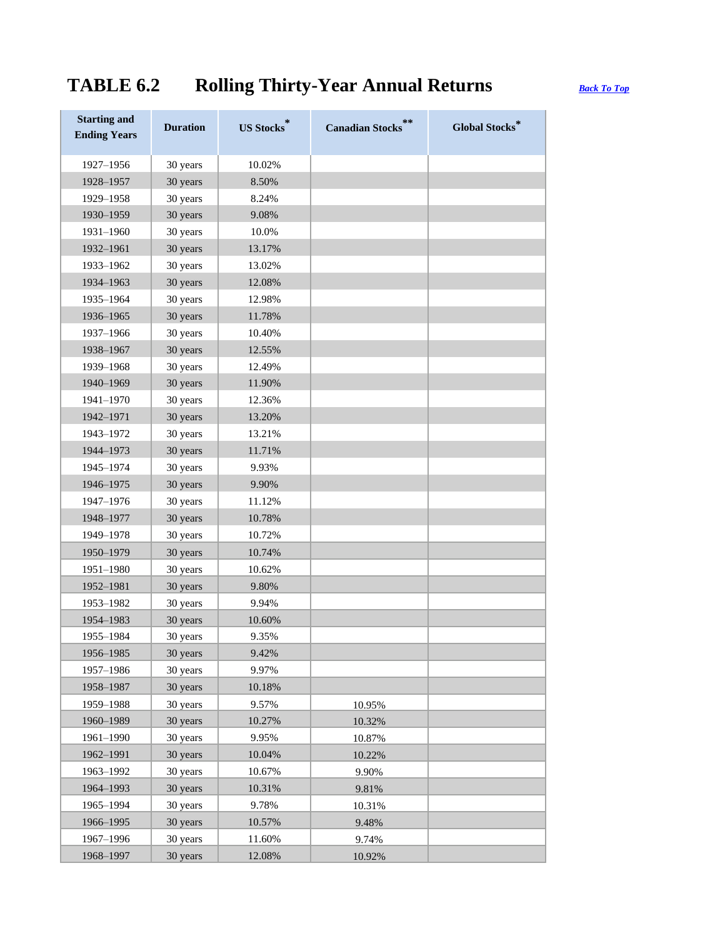# **TABLE 6.2 Rolling Thirty-Year Annual Returns** *[Back To Top](#page-0-0)*

| <b>Starting and</b><br><b>Ending Years</b> | <b>Duration</b> | <b>US Stocks</b> | **<br><b>Canadian Stocks</b> | <b>Global Stocks*</b> |
|--------------------------------------------|-----------------|------------------|------------------------------|-----------------------|
| 1927-1956                                  | 30 years        | 10.02%           |                              |                       |
| 1928-1957                                  | 30 years        | 8.50%            |                              |                       |
| 1929-1958                                  | 30 years        | 8.24%            |                              |                       |
| 1930-1959                                  | 30 years        | 9.08%            |                              |                       |
| 1931-1960                                  | 30 years        | 10.0%            |                              |                       |
| 1932-1961                                  | 30 years        | 13.17%           |                              |                       |
| 1933-1962                                  | 30 years        | 13.02%           |                              |                       |
| 1934-1963                                  | 30 years        | 12.08%           |                              |                       |
| 1935-1964                                  | 30 years        | 12.98%           |                              |                       |
| 1936-1965                                  | 30 years        | 11.78%           |                              |                       |
| 1937-1966                                  | 30 years        | 10.40%           |                              |                       |
| 1938-1967                                  | 30 years        | 12.55%           |                              |                       |
| 1939-1968                                  | 30 years        | 12.49%           |                              |                       |
| 1940-1969                                  | 30 years        | 11.90%           |                              |                       |
| 1941-1970                                  | 30 years        | 12.36%           |                              |                       |
| 1942-1971                                  | 30 years        | 13.20%           |                              |                       |
| 1943-1972                                  | 30 years        | 13.21%           |                              |                       |
| 1944-1973                                  | 30 years        | 11.71%           |                              |                       |
| 1945-1974                                  | 30 years        | 9.93%            |                              |                       |
| 1946-1975                                  | 30 years        | 9.90%            |                              |                       |
| 1947-1976                                  | 30 years        | 11.12%           |                              |                       |
| 1948-1977                                  | 30 years        | 10.78%           |                              |                       |
| 1949-1978                                  | 30 years        | 10.72%           |                              |                       |
| 1950-1979                                  | 30 years        | 10.74%           |                              |                       |
| 1951-1980                                  | 30 years        | 10.62%           |                              |                       |
| 1952-1981                                  | 30 years        | 9.80%            |                              |                       |
| 1953-1982                                  | 30 years        | 9.94%            |                              |                       |
| 1954-1983                                  | 30 years        | 10.60%           |                              |                       |
| 1955-1984                                  | 30 years        | 9.35%            |                              |                       |
| 1956-1985                                  | 30 years        | 9.42%            |                              |                       |
| 1957-1986                                  | 30 years        | 9.97%            |                              |                       |
| 1958-1987                                  | 30 years        | 10.18%           |                              |                       |
| 1959-1988                                  | 30 years        | 9.57%            | 10.95%                       |                       |
| 1960-1989                                  | 30 years        | 10.27%           | 10.32%                       |                       |
| 1961-1990                                  | 30 years        | 9.95%            | 10.87%                       |                       |
| 1962-1991                                  | 30 years        | 10.04%           | 10.22%                       |                       |
| 1963-1992                                  | 30 years        | 10.67%           | 9.90%                        |                       |
| 1964-1993                                  | 30 years        | 10.31%           | 9.81%                        |                       |
| 1965-1994                                  | 30 years        | 9.78%            | 10.31%                       |                       |
| 1966-1995                                  | 30 years        | 10.57%           | 9.48%                        |                       |
| 1967-1996                                  | 30 years        | 11.60%           | 9.74%                        |                       |
| 1968-1997                                  | 30 years        | 12.08%           | 10.92%                       |                       |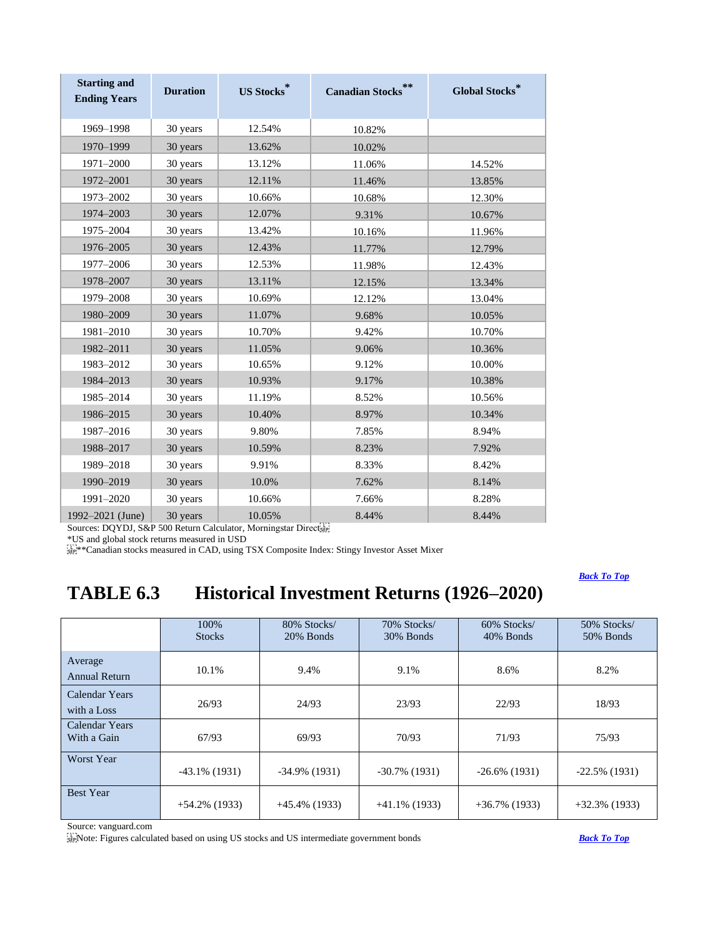| <b>Starting and</b><br><b>Ending Years</b> | <b>Duration</b> | <b>US Stocks</b> | **<br><b>Canadian Stocks</b> | <b>Global Stocks*</b> |
|--------------------------------------------|-----------------|------------------|------------------------------|-----------------------|
| 1969-1998                                  | 30 years        | 12.54%           | 10.82%                       |                       |
| 1970-1999                                  | 30 years        | 13.62%           | 10.02%                       |                       |
| 1971-2000                                  | 30 years        | 13.12%           | 11.06%                       | 14.52%                |
| 1972-2001                                  | 30 years        | 12.11%           | 11.46%                       | 13.85%                |
| 1973-2002                                  | 30 years        | 10.66%           | 10.68%                       | 12.30%                |
| 1974-2003                                  | 30 years        | 12.07%           | 9.31%                        | 10.67%                |
| 1975-2004                                  | 30 years        | 13.42%           | 10.16%                       | 11.96%                |
| 1976-2005                                  | 30 years        | 12.43%           | 11.77%                       | 12.79%                |
| 1977-2006                                  | 30 years        | 12.53%           | 11.98%                       | 12.43%                |
| 1978-2007                                  | 30 years        | 13.11%           | 12.15%                       | 13.34%                |
| 1979-2008                                  | 30 years        | 10.69%           | 12.12%                       | 13.04%                |
| 1980-2009                                  | 30 years        | 11.07%           | 9.68%                        | 10.05%                |
| 1981-2010                                  | 30 years        | 10.70%           | 9.42%                        | 10.70%                |
| 1982-2011                                  | 30 years        | 11.05%           | 9.06%                        | 10.36%                |
| 1983-2012                                  | 30 years        | 10.65%           | 9.12%                        | 10.00%                |
| 1984-2013                                  | 30 years        | 10.93%           | 9.17%                        | 10.38%                |
| 1985-2014                                  | 30 years        | 11.19%           | 8.52%                        | 10.56%                |
| 1986-2015                                  | 30 years        | 10.40%           | 8.97%                        | 10.34%                |
| 1987-2016                                  | 30 years        | 9.80%            | 7.85%                        | 8.94%                 |
| 1988-2017                                  | 30 years        | 10.59%           | 8.23%                        | 7.92%                 |
| 1989-2018                                  | 30 years        | 9.91%            | 8.33%                        | 8.42%                 |
| 1990-2019                                  | 30 years        | 10.0%            | 7.62%                        | 8.14%                 |
| 1991-2020                                  | 30 years        | 10.66%           | 7.66%                        | 8.28%                 |
| 1992-2021 (June)                           | 30 years        | 10.05%           | 8.44%                        | 8.44%                 |

Sources: DQYDJ, S&P 500 Return Calculator, Morningstar Directs

\*US and global stock returns measured in USD

 $\sum_{s \in \mathbb{R}}^{\infty}$  \*\*Canadian stocks measured in CAD, using TSX Composite Index: Stingy Investor Asset Mixer

## <span id="page-5-0"></span>*[Back To Top](#page-0-0)*

# **TABLE 6.3 Historical Investment Returns (1926–2020)**

|                               | 100%<br><b>Stocks</b> | 80% Stocks/<br>20% Bonds | 70% Stocks/<br>30% Bonds | 60% Stocks/<br>40% Bonds | 50% Stocks/<br>50% Bonds |
|-------------------------------|-----------------------|--------------------------|--------------------------|--------------------------|--------------------------|
| Average<br>Annual Return      | 10.1%                 | 9.4%                     | 9.1%                     | 8.6%                     | 8.2%                     |
| Calendar Years<br>with a Loss | 26/93                 | 24/93                    | 23/93                    | 22/93                    | 18/93                    |
| Calendar Years<br>With a Gain | 67/93                 | 69/93                    | 70/93                    | 71/93                    | 75/93                    |
| <b>Worst Year</b>             | $-43.1\%$ (1931)      | $-34.9\%$ (1931)         | $-30.7\%$ (1931)         | $-26.6\%$ (1931)         | $-22.5\%$ (1931)         |
| <b>Best Year</b>              | $+54.2\%$ (1933)      | $+45.4\%$ (1933)         | $+41.1\%$ (1933)         | $+36.7\%$ (1933)         | $+32.3\%$ (1933)         |

Source: vanguard.com

Note: Figures calculated based on using US stocks and US intermediate government bonds *[Back To Top](#page-0-0)*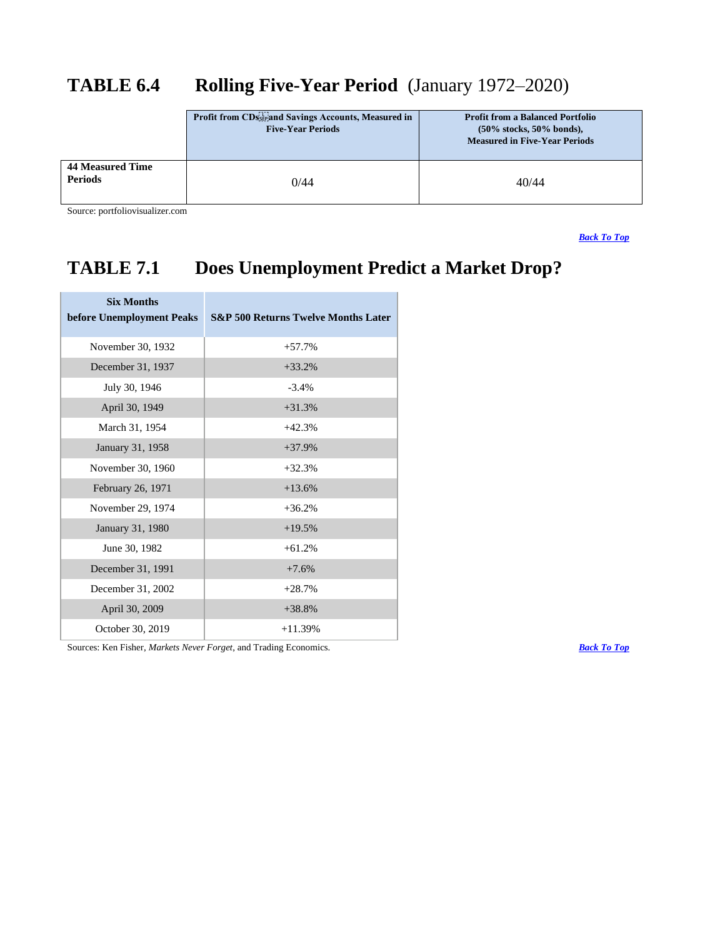# <span id="page-6-0"></span>**TABLE 6.4 Rolling Five-Year Period** (January 1972–2020)

|                                           | Profit from CDs and Savings Accounts, Measured in<br><b>Five-Year Periods</b> | <b>Profit from a Balanced Portfolio</b><br>$(50\%$ stocks, 50% bonds),<br><b>Measured in Five-Year Periods</b> |
|-------------------------------------------|-------------------------------------------------------------------------------|----------------------------------------------------------------------------------------------------------------|
| <b>44 Measured Time</b><br><b>Periods</b> | 0/44                                                                          | 40/44                                                                                                          |

Source: portfoliovisualizer.com

*[Back To Top](#page-0-0)*

# <span id="page-6-1"></span>**TABLE 7.1 Does Unemployment Predict a Market Drop?**

| <b>Six Months</b><br>before Unemployment Peaks | <b>S&amp;P 500 Returns Twelve Months Later</b> |
|------------------------------------------------|------------------------------------------------|
| November 30, 1932                              | $+57.7%$                                       |
| December 31, 1937                              | $+33.2%$                                       |
| July 30, 1946                                  | $-3.4\%$                                       |
| April 30, 1949                                 | $+31.3%$                                       |
| March 31, 1954                                 | $+42.3%$                                       |
| January 31, 1958                               | $+37.9%$                                       |
| November 30, 1960                              | $+32.3%$                                       |
| February 26, 1971                              | $+13.6%$                                       |
| November 29, 1974                              | $+36.2%$                                       |
| January 31, 1980                               | $+19.5%$                                       |
| June 30, 1982                                  | $+61.2%$                                       |
| December 31, 1991                              | $+7.6%$                                        |
| December 31, 2002                              | $+28.7%$                                       |
| April 30, 2009                                 | $+38.8%$                                       |
| October 30, 2019                               | $+11.39%$                                      |

Sources: Ken Fisher, *Markets Never Forget*, and Trading Economics. *[Back To Top](#page-0-0)*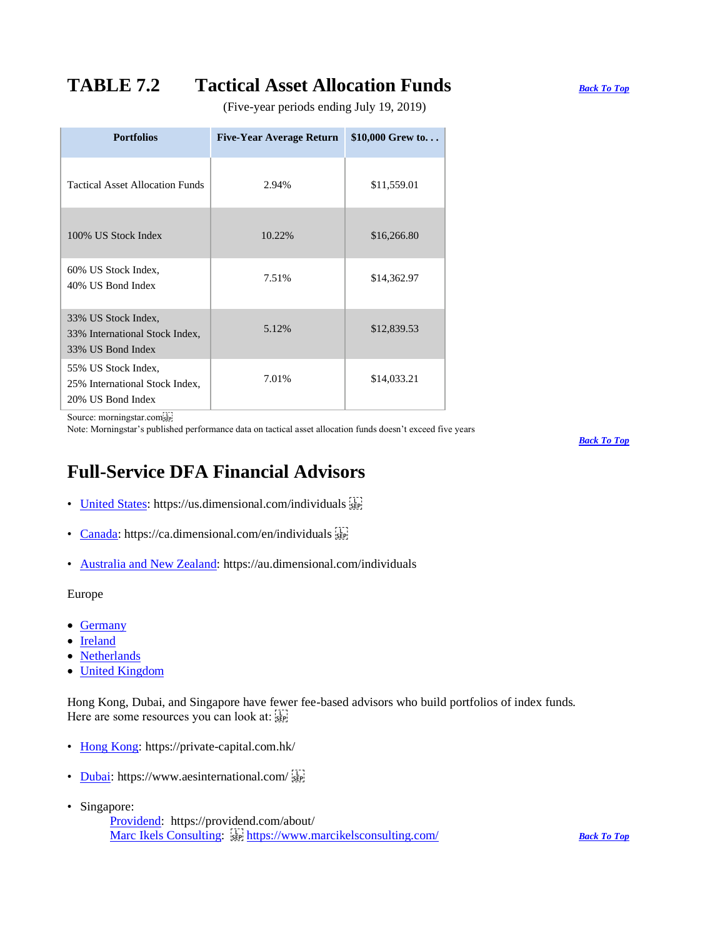# **TABLE 7.2 Tactical Asset Allocation Funds** *[Back To Top](#page-0-0)*

<span id="page-7-0"></span>(Five-year periods ending July 19, 2019)

| <b>Portfolios</b>                                                          | <b>Five-Year Average Return</b> | \$10,000 Grew to |
|----------------------------------------------------------------------------|---------------------------------|------------------|
| <b>Tactical Asset Allocation Funds</b>                                     | 2.94%                           | \$11,559.01      |
| 100% US Stock Index                                                        | 10.22%                          | \$16,266.80      |
| 60% US Stock Index.<br>40% US Bond Index                                   | 7.51%                           | \$14,362.97      |
| 33% US Stock Index,<br>33% International Stock Index,<br>33% US Bond Index | 5.12%                           | \$12,839.53      |
| 55% US Stock Index,<br>25% International Stock Index,<br>20% US Bond Index | 7.01%                           | \$14,033.21      |

Source: morningstar.com

Note: Morningstar's published performance data on tactical asset allocation funds doesn't exceed five years

*[Back To Top](#page-0-0)*

## <span id="page-7-1"></span>**Full-Service DFA Financial Advisors**

- [United States:](https://us.dimensional.com/individuals) https://us.dimensional.com/individuals
- [Canada:](https://ca.dimensional.com/en/individuals) https://ca.dimensional.com/en/individuals
- [Australia and New Zealand:](https://au.dimensional.com/individuals) https://au.dimensional.com/individuals

Europe

- [Germany](https://eu.dimensional.com/de-de/individuals)
- [Ireland](https://eu.dimensional.com/ie-en/individuals)
- [Netherlands](https://eu.dimensional.com/nl-nl/individuals)
- [United Kingdom](https://eu.dimensional.com/gb-en/individuals)

Hong Kong, Dubai, and Singapore have fewer fee-based advisors who build portfolios of index funds. Here are some resources you can look at:

- [Hong Kong:](https://private-capital.com.hk/) https://private-capital.com.hk/
- [Dubai:](https://www.aesinternational.com/) https://www.aesinternational.com/
- Singapore:
	- [Providend:](https://providend.com/about/) https://providend.com/about/ Marc Ikels [Consulting:](https://www.marcikelsconsulting.com/)  $\frac{1}{25}$  <https://www.marcikelsconsulting.com/> *[Back To Top](#page-0-0)*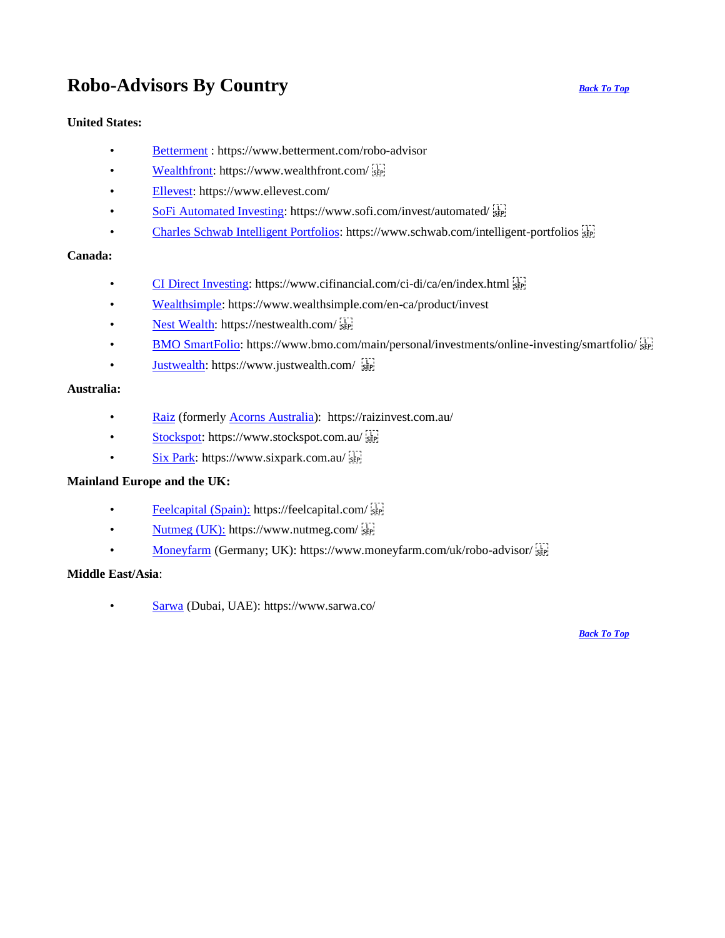# <span id="page-8-0"></span>**Robo-Advisors By Country** *[Back To Top](#page-0-0)*

### **United States:**

- [Betterment](https://www.betterment.com/robo-advisor) : https://www.betterment.com/robo-advisor
- [Wealthfront:](https://www.wealthfront.com/) https://www.wealthfront.com/
- [Ellevest:](https://www.ellevest.com/investing) https://www.ellevest.com/
- [SoFi Automated Investing:](https://www.sofi.com/invest/automated/) https://www.sofi.com/invest/automated/ $\frac{1}{15}$
- [Charles Schwab Intelligent Portfolios:](https://www.schwab.com/intelligent-portfolios) https://www.schwab.com/intelligent-portfolios  $\frac{1}{35}$

### **Canada:**

- [CI Direct Investing:](https://www.cifinancial.com/ci-di/ca/en/invest.html) https://www.cifinancial.com/ci-di/ca/en/index.html  $\frac{17}{15}$
- [Wealthsimple:](https://www.wealthsimple.com/en-ca/product/invest) https://www.wealthsimple.com/en-ca/product/invest
- [Nest Wealth:](https://nestwealth.com/) https://nestwealth.com/
- [BMO SmartFolio:](https://www.bmo.com/main/personal/investments/online-investing/smartfolio/) https://www.bmo.com/main/personal/investments/online-investing/smartfolio/ $\frac{1}{15}$
- **[Justwealth:](https://www.justwealth.com/)** https://www.justwealth.com/

### **Australia:**

- [Raiz](https://raizinvest.com.au/) (formerl[y Acorns Australia\)](https://www.acorns.com/): https://raizinvest.com.au/
- [Stockspot:](https://www.stockspot.com.au/) https://www.stockspot.com.au/
- [Six Park:](https://www.sixpark.com.au/) https://www.sixpark.com.au/

### **Mainland Europe and the UK:**

- [Feelcapital \(Spain\):](https://feelcapital.com/) https://feelcapital.com/
- [Nutmeg \(UK\):](https://www.nutmeg.com/) https://www.nutmeg.com/ $\frac{17}{15}$
- [Moneyfarm](https://www.moneyfarm.com/uk/robo-advisor/) (Germany; UK): https://www.moneyfarm.com/uk/robo-advisor/ $\frac{1}{25}$

### **Middle East/Asia**:

• [Sarwa](https://www.sarwa.co/) (Dubai, UAE): https://www.sarwa.co/

*[Back To Top](#page-0-0)*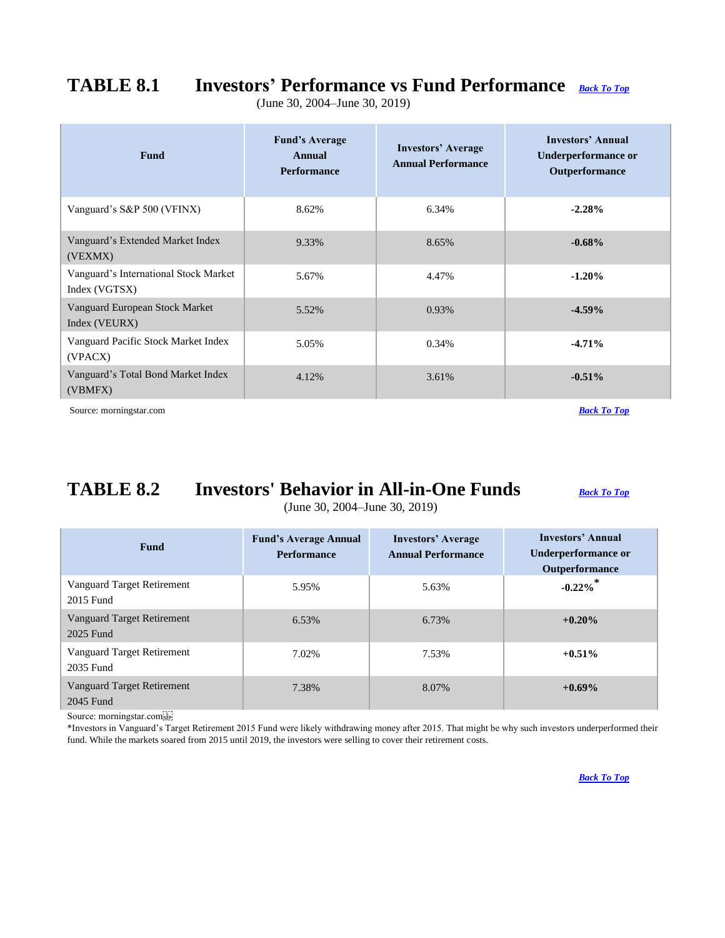# **TABLE 8.1 Investors' Performance vs Fund Performance** *[Back To Top](#page-0-0)*

<span id="page-9-0"></span>(June 30, 2004–June 30, 2019)

| <b>Fund</b>                                            | <b>Fund's Average</b><br>Annual<br><b>Performance</b> | <b>Investors' Average</b><br><b>Annual Performance</b> | Investors' Annual<br>Underperformance or<br>Outperformance |
|--------------------------------------------------------|-------------------------------------------------------|--------------------------------------------------------|------------------------------------------------------------|
| Vanguard's S&P 500 (VFINX)                             | 8.62%                                                 | 6.34%                                                  | $-2.28%$                                                   |
| Vanguard's Extended Market Index<br>(VEXMX)            | 9.33%                                                 | 8.65%                                                  | $-0.68\%$                                                  |
| Vanguard's International Stock Market<br>Index (VGTSX) | 5.67%                                                 | 4.47%                                                  | $-1.20%$                                                   |
| Vanguard European Stock Market<br>Index (VEURX)        | 5.52%                                                 | 0.93%                                                  | $-4.59%$                                                   |
| Vanguard Pacific Stock Market Index<br>(VPACX)         | 5.05%                                                 | 0.34%                                                  | $-4.71%$                                                   |
| Vanguard's Total Bond Market Index<br>(VBMFX)          | 4.12%                                                 | 3.61%                                                  | $-0.51%$                                                   |

Source: morningstar.com *[Back To Top](#page-0-0) Back To Top* 

# **TABLE 8.2 Investors' Behavior in All-in-One Funds** *[Back To Top](#page-0-0)*

<span id="page-9-1"></span>(June 30, 2004–June 30, 2019)

| <b>Fund</b>                             | <b>Fund's Average Annual</b><br><b>Performance</b> | <b>Investors' Average</b><br><b>Annual Performance</b> | Investors' Annual<br>Underperformance or<br><b>Outperformance</b> |
|-----------------------------------------|----------------------------------------------------|--------------------------------------------------------|-------------------------------------------------------------------|
| Vanguard Target Retirement<br>2015 Fund | 5.95%                                              | 5.63%                                                  | $-0.22%$ *                                                        |
| Vanguard Target Retirement<br>2025 Fund | 6.53%                                              | 6.73%                                                  | $+0.20%$                                                          |
| Vanguard Target Retirement<br>2035 Fund | 7.02%                                              | 7.53%                                                  | $+0.51\%$                                                         |
| Vanguard Target Retirement<br>2045 Fund | 7.38%                                              | 8.07%                                                  | $+0.69\%$                                                         |

Source: morningstar.com

\*Investors in Vanguard's Target Retirement 2015 Fund were likely withdrawing money after 2015. That might be why such investors underperformed their fund. While the markets soared from 2015 until 2019, the investors were selling to cover their retirement costs.

*[Back To Top](#page-0-0)*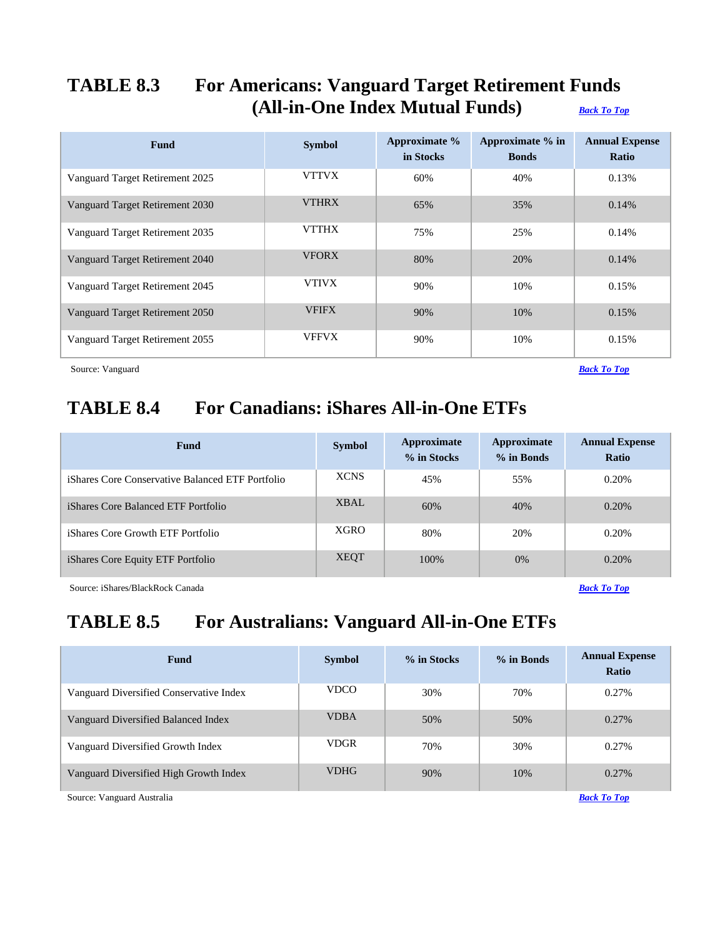## <span id="page-10-0"></span>**TABLE 8.3 For Americans: Vanguard Target Retirement Funds (All-in-One Index Mutual Funds)** *[Back To Top](#page-0-0)*

| Fund                            | <b>Symbol</b> | Approximate %<br>in Stocks | Approximate % in<br><b>Bonds</b> | <b>Annual Expense</b><br>Ratio |
|---------------------------------|---------------|----------------------------|----------------------------------|--------------------------------|
| Vanguard Target Retirement 2025 | <b>VTTVX</b>  | 60%                        | 40%                              | 0.13%                          |
| Vanguard Target Retirement 2030 | <b>VTHRX</b>  | 65%                        | 35%                              | 0.14%                          |
| Vanguard Target Retirement 2035 | <b>VTTHX</b>  | 75%                        | 25%                              | 0.14%                          |
| Vanguard Target Retirement 2040 | <b>VFORX</b>  | 80%                        | 20%                              | 0.14%                          |
| Vanguard Target Retirement 2045 | <b>VTIVX</b>  | 90%                        | 10%                              | 0.15%                          |
| Vanguard Target Retirement 2050 | <b>VFIFX</b>  | 90%                        | 10%                              | 0.15%                          |
| Vanguard Target Retirement 2055 | <b>VFFVX</b>  | 90%                        | 10%                              | 0.15%                          |

<span id="page-10-1"></span>Source: Vanguard *[Back To Top](#page-0-0)*

# **TABLE 8.4 For Canadians: iShares All-in-One ETFs**

| <b>Fund</b>                                      | <b>Symbol</b> | Approximate<br>% in Stocks | <b>Approximate</b><br>% in Bonds | <b>Annual Expense</b><br><b>Ratio</b> |
|--------------------------------------------------|---------------|----------------------------|----------------------------------|---------------------------------------|
| iShares Core Conservative Balanced ETF Portfolio | <b>XCNS</b>   | 45%                        | 55%                              | 0.20%                                 |
| <i>iShares Core Balanced ETF Portfolio</i>       | XBAL          | 60%                        | 40%                              | $0.20\%$                              |
| <i>iShares Core Growth ETF Portfolio</i>         | <b>XGRO</b>   | 80%                        | 20%                              | 0.20%                                 |
| iShares Core Equity ETF Portfolio                | <b>XEQT</b>   | 100\%                      | $0\%$                            | $0.20\%$                              |

<span id="page-10-2"></span>Source: iShares/BlackRock Canada *[Back To Top](#page-0-0)*

# **TABLE 8.5 For Australians: Vanguard All-in-One ETFs**

| <b>Fund</b>                             | <b>Symbol</b> | % in Stocks | % in Bonds | <b>Annual Expense</b><br><b>Ratio</b> |
|-----------------------------------------|---------------|-------------|------------|---------------------------------------|
| Vanguard Diversified Conservative Index | <b>VDCO</b>   | 30%         | 70%        | 0.27%                                 |
| Vanguard Diversified Balanced Index     | <b>VDBA</b>   | 50%         | 50%        | 0.27%                                 |
| Vanguard Diversified Growth Index       | <b>VDGR</b>   | 70%         | 30%        | 0.27%                                 |
| Vanguard Diversified High Growth Index  | <b>VDHG</b>   | 90%         | 10%        | $0.27\%$                              |
| Source: Vanguard Australia              |               |             |            | <b>Back To Top</b>                    |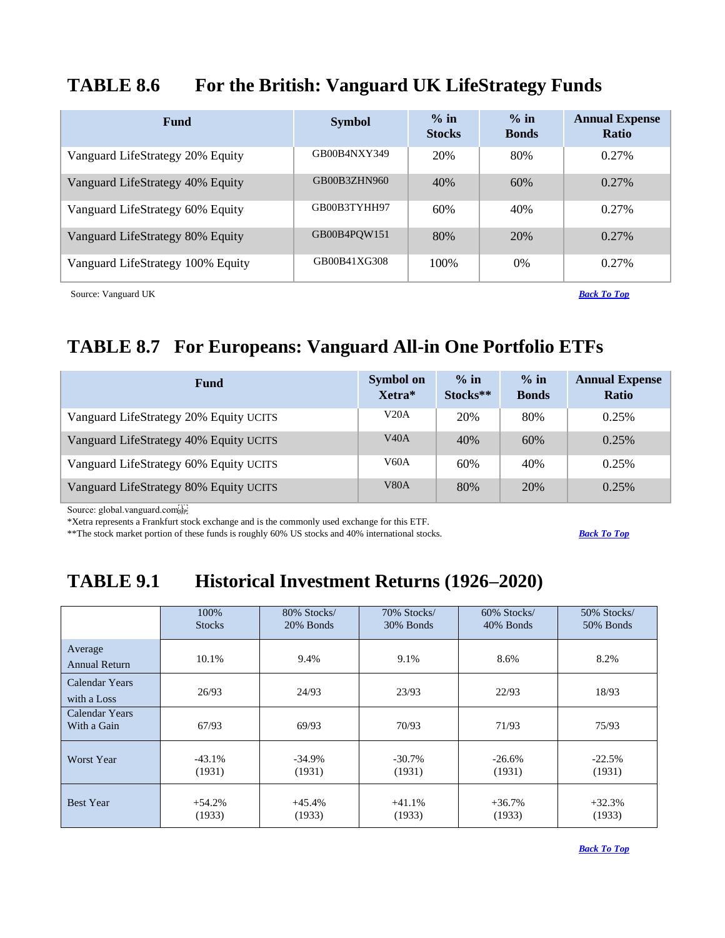## <span id="page-11-0"></span>**TABLE 8.6 For the British: Vanguard UK LifeStrategy Funds**

| Fund                              | <b>Symbol</b> | $\%$ in<br><b>Stocks</b> | $\%$ in<br><b>Bonds</b> | <b>Annual Expense</b><br>Ratio |
|-----------------------------------|---------------|--------------------------|-------------------------|--------------------------------|
| Vanguard LifeStrategy 20% Equity  | GB00B4NXY349  | 20%                      | 80%                     | 0.27%                          |
| Vanguard LifeStrategy 40% Equity  | GB00B3ZHN960  | 40%                      | 60%                     | $0.27\%$                       |
| Vanguard LifeStrategy 60% Equity  | GB00B3TYHH97  | 60%                      | 40%                     | 0.27%                          |
| Vanguard LifeStrategy 80% Equity  | GB00B4POW151  | 80%                      | 20%                     | $0.27\%$                       |
| Vanguard LifeStrategy 100% Equity | GB00B41XG308  | 100\%                    | $0\%$                   | 0.27%                          |

Source: Vanguard UK *[Back To Top](#page-0-0)*

# <span id="page-11-1"></span>**TABLE 8.7 For Europeans: Vanguard All-in One Portfolio ETFs**

| Fund                                   | <b>Symbol on</b><br>Xetra* | $\%$ in<br>Stocks** | $\%$ in<br><b>Bonds</b> | <b>Annual Expense</b><br><b>Ratio</b> |
|----------------------------------------|----------------------------|---------------------|-------------------------|---------------------------------------|
| Vanguard LifeStrategy 20% Equity UCITS | V20A                       | 20%                 | 80%                     | 0.25%                                 |
| Vanguard LifeStrategy 40% Equity UCITS | V40A                       | 40%                 | 60%                     | 0.25%                                 |
| Vanguard LifeStrategy 60% Equity UCITS | V60A                       | 60%                 | 40%                     | 0.25%                                 |
| Vanguard LifeStrategy 80% Equity UCITS | V <sub>80</sub> A          | 80%                 | 20%                     | 0.25%                                 |

Source: global.vanguard.com

\*Xetra represents a Frankfurt stock exchange and is the commonly used exchange for this ETF.

\*\*The stock market portion of these funds is roughly 60% US stocks and 40% international stocks. *[Back To Top](#page-0-0)*

# <span id="page-11-2"></span>**TABLE 9.1 Historical Investment Returns (1926–2020)**

|                               | 100%          | 80% Stocks/ | 70% Stocks/ | 60% Stocks/ | 50% Stocks/ |
|-------------------------------|---------------|-------------|-------------|-------------|-------------|
|                               | <b>Stocks</b> | 20% Bonds   | 30% Bonds   | 40% Bonds   | 50% Bonds   |
| Average<br>Annual Return      | 10.1%         | 9.4%        | 9.1%        | 8.6%        | 8.2%        |
| Calendar Years<br>with a Loss | 26/93         | 24/93       | 23/93       | 22/93       | 18/93       |
| Calendar Years<br>With a Gain | 67/93         | 69/93       | 70/93       | 71/93       | 75/93       |
| <b>Worst Year</b>             | $-43.1%$      | $-34.9%$    | $-30.7\%$   | $-26.6%$    | $-22.5%$    |
|                               | (1931)        | (1931)      | (1931)      | (1931)      | (1931)      |
| <b>Best Year</b>              | $+54.2%$      | $+45.4%$    | $+41.1%$    | $+36.7%$    | $+32.3%$    |
|                               | (1933)        | (1933)      | (1933)      | (1933)      | (1933)      |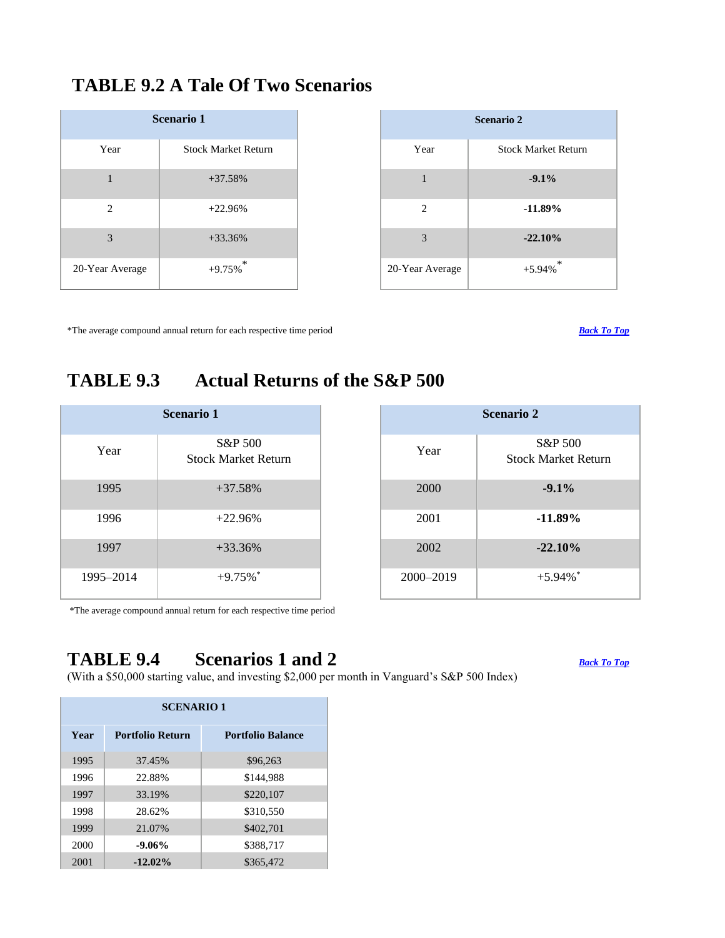## <span id="page-12-0"></span>**TABLE 9.2 A Tale Of Two Scenarios**

| <b>Scenario 1</b> |                            |  |  |  |
|-------------------|----------------------------|--|--|--|
| Year              | <b>Stock Market Return</b> |  |  |  |
| 1                 | $+37.58%$                  |  |  |  |
| 2                 | $+22.96%$                  |  |  |  |
| 3                 | $+33.36%$                  |  |  |  |
| 20-Year Average   | $+9.75\%$ <sup>*</sup>     |  |  |  |

|                 | <b>Scenario 2</b>          |
|-----------------|----------------------------|
| Year            | <b>Stock Market Return</b> |
| 1               | $-9.1%$                    |
| 2               | $-11.89%$                  |
| 3               | $-22.10%$                  |
| 20-Year Average | $+5.94\%$ <sup>*</sup>     |

\*The average compound annual return for each respective time period *[Back To Top](#page-0-0)*

## <span id="page-12-1"></span>**TABLE 9.3 Actual Returns of the S&P 500**

| <b>Scenario 1</b> |                                       |  |  |  |  |  |  |
|-------------------|---------------------------------------|--|--|--|--|--|--|
| Year              | S&P 500<br><b>Stock Market Return</b> |  |  |  |  |  |  |
| 1995              | $+37.58\%$                            |  |  |  |  |  |  |
| 1996              | $+22.96%$                             |  |  |  |  |  |  |
| 1997              | $+33.36%$                             |  |  |  |  |  |  |
| 1995-2014         | $+9.75%$                              |  |  |  |  |  |  |

| <b>Scenario 2</b> |                                       |  |  |  |  |  |
|-------------------|---------------------------------------|--|--|--|--|--|
| Year              | S&P 500<br><b>Stock Market Return</b> |  |  |  |  |  |
| 2000              | $-9.1%$                               |  |  |  |  |  |
| 2001              | $-11.89\%$                            |  |  |  |  |  |
| 2002              | $-22.10%$                             |  |  |  |  |  |
| 2000-2019         | $+5.94\%$                             |  |  |  |  |  |

\*The average compound annual return for each respective time period

# <span id="page-12-2"></span>**TABLE 9.4 Scenarios 1 and 2** *[Back To Top](#page-0-0)*

(With a \$50,000 starting value, and investing \$2,000 per month in Vanguard's S&P 500 Index)

| <b>SCENARIO 1</b> |                         |                          |  |  |  |  |  |  |
|-------------------|-------------------------|--------------------------|--|--|--|--|--|--|
| Year              | <b>Portfolio Return</b> | <b>Portfolio Balance</b> |  |  |  |  |  |  |
| 1995              | 37.45%                  | \$96,263                 |  |  |  |  |  |  |
| 1996              | 22.88%                  | \$144.988                |  |  |  |  |  |  |
| 1997              | 33.19%                  | \$220,107                |  |  |  |  |  |  |
| 1998              | 28.62%                  | \$310,550                |  |  |  |  |  |  |
| 1999              | 21.07%                  | \$402,701                |  |  |  |  |  |  |
| 2000              | $-9.06%$                | \$388,717                |  |  |  |  |  |  |
| 2001              | $-12.02\%$              | \$365,472                |  |  |  |  |  |  |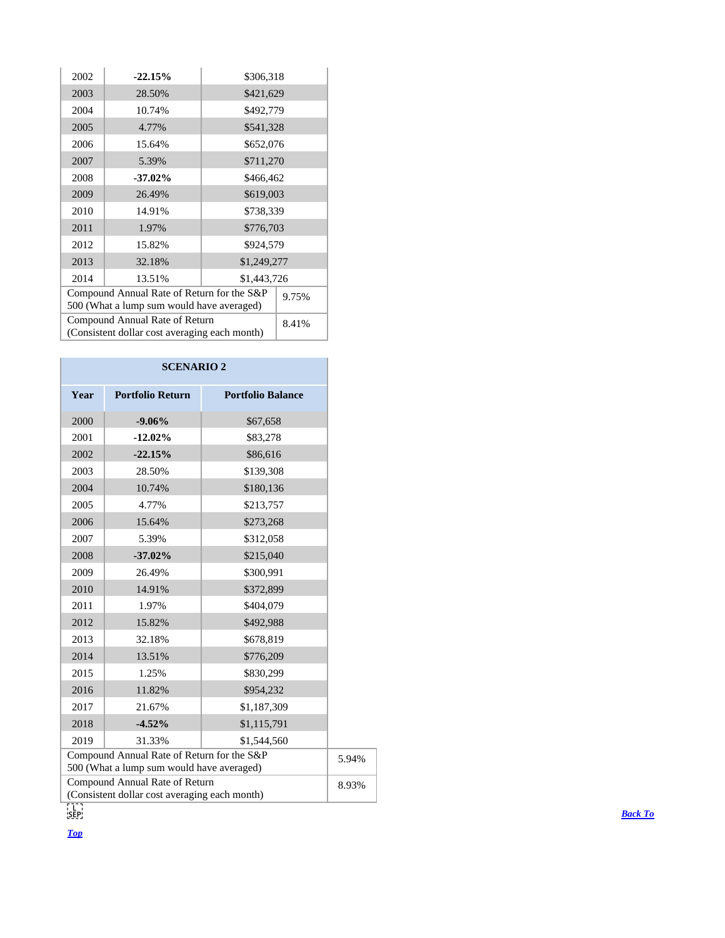| 2002                                          | $-22.15%$               | \$306,318   |  |  |  |  |
|-----------------------------------------------|-------------------------|-------------|--|--|--|--|
| 2003                                          | 28.50%                  | \$421,629   |  |  |  |  |
| 2004                                          | 10.74%                  | \$492,779   |  |  |  |  |
| 2005                                          | 4.77%                   | \$541,328   |  |  |  |  |
| 2006                                          | 15.64%                  | \$652,076   |  |  |  |  |
| 2007                                          | \$711,270<br>5.39%      |             |  |  |  |  |
| 2008                                          | $-37.02\%$<br>\$466,462 |             |  |  |  |  |
| 2009                                          | 26.49%                  | \$619,003   |  |  |  |  |
| 2010                                          | 14.91%                  | \$738,339   |  |  |  |  |
| 2011                                          | 1.97%                   | \$776,703   |  |  |  |  |
| 2012                                          | 15.82%                  | \$924,579   |  |  |  |  |
| 2013                                          | 32.18%                  | \$1,249,277 |  |  |  |  |
| 2014                                          | 13.51%<br>\$1,443,726   |             |  |  |  |  |
| Compound Annual Rate of Return for the S&P    | 9.75%                   |             |  |  |  |  |
| 500 (What a lump sum would have averaged)     |                         |             |  |  |  |  |
| Compound Annual Rate of Return                | 8.41%                   |             |  |  |  |  |
| (Consistent dollar cost averaging each month) |                         |             |  |  |  |  |

|      | <b>SCENARIO 2</b>                                                                       |                          |  |
|------|-----------------------------------------------------------------------------------------|--------------------------|--|
| Year | <b>Portfolio Return</b>                                                                 | <b>Portfolio Balance</b> |  |
| 2000 | $-9.06%$                                                                                | \$67,658                 |  |
| 2001 | $-12.02%$                                                                               | \$83,278                 |  |
| 2002 | $-22.15%$                                                                               | \$86,616                 |  |
| 2003 | 28.50%                                                                                  | \$139,308                |  |
| 2004 | 10.74%                                                                                  | \$180,136                |  |
| 2005 | 4.77%                                                                                   | \$213,757                |  |
| 2006 | 15.64%                                                                                  | \$273,268                |  |
| 2007 | 5.39%                                                                                   | \$312,058                |  |
| 2008 | $-37.02%$                                                                               | \$215,040                |  |
| 2009 | 26.49%                                                                                  | \$300,991                |  |
| 2010 | 14.91%                                                                                  | \$372,899                |  |
| 2011 | 1.97%                                                                                   | \$404,079                |  |
| 2012 | 15.82%                                                                                  | \$492,988                |  |
| 2013 | 32.18%                                                                                  | \$678,819                |  |
| 2014 | 13.51%                                                                                  | \$776,209                |  |
| 2015 | 1.25%                                                                                   | \$830,299                |  |
| 2016 | 11.82%                                                                                  | \$954,232                |  |
| 2017 | 21.67%                                                                                  | \$1,187,309              |  |
| 2018 | $-4.52%$                                                                                | \$1,115,791              |  |
| 2019 | 31.33%                                                                                  | \$1,544,560              |  |
|      | Compound Annual Rate of Return for the S&P<br>500 (What a lump sum would have averaged) |                          |  |
|      | Compound Annual Rate of Return<br>(Consistent dollar cost averaging each month)         |                          |  |
|      |                                                                                         |                          |  |

*[Top](#page-0-0)*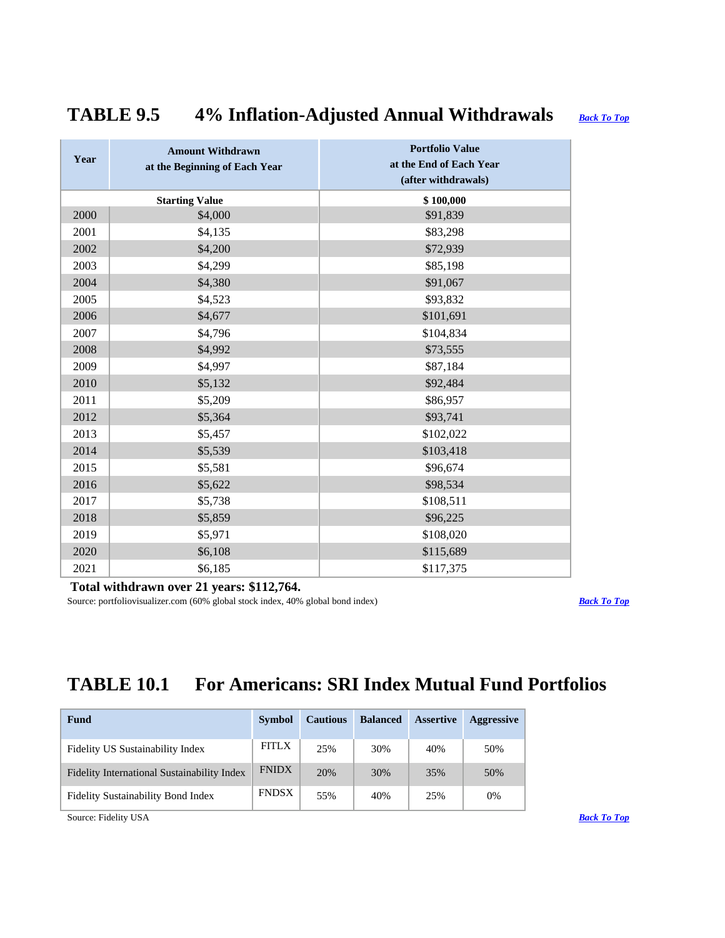# <span id="page-14-0"></span>**TABLE 9.5 4% Inflation-Adjusted Annual Withdrawals** *[Back To Top](#page-0-0)*

| Year | <b>Amount Withdrawn</b><br>at the Beginning of Each Year | <b>Portfolio Value</b><br>at the End of Each Year<br>(after withdrawals) |
|------|----------------------------------------------------------|--------------------------------------------------------------------------|
|      | <b>Starting Value</b>                                    | \$100,000                                                                |
| 2000 | \$4,000                                                  | \$91,839                                                                 |
| 2001 | \$4,135                                                  | \$83,298                                                                 |
| 2002 | \$4,200                                                  | \$72,939                                                                 |
| 2003 | \$4,299                                                  | \$85,198                                                                 |
| 2004 | \$4,380                                                  | \$91,067                                                                 |
| 2005 | \$4,523                                                  | \$93,832                                                                 |
| 2006 | \$4,677                                                  | \$101,691                                                                |
| 2007 | \$4,796                                                  | \$104,834                                                                |
| 2008 | \$4,992                                                  | \$73,555                                                                 |
| 2009 | \$4,997                                                  | \$87,184                                                                 |
| 2010 | \$5,132                                                  | \$92,484                                                                 |
| 2011 | \$5,209                                                  | \$86,957                                                                 |
| 2012 | \$5,364                                                  | \$93,741                                                                 |
| 2013 | \$5,457                                                  | \$102,022                                                                |
| 2014 | \$5,539                                                  | \$103,418                                                                |
| 2015 | \$5,581                                                  | \$96,674                                                                 |
| 2016 | \$5,622                                                  | \$98,534                                                                 |
| 2017 | \$5,738                                                  | \$108,511                                                                |
| 2018 | \$5,859                                                  | \$96,225                                                                 |
| 2019 | \$5,971                                                  | \$108,020                                                                |
| 2020 | \$6,108                                                  | \$115,689                                                                |
| 2021 | \$6,185                                                  | \$117,375                                                                |

### **Total withdrawn over 21 years: \$112,764.**

Source: portfoliovisualizer.com (60% global stock index, 40% global bond index) *[Back To Top](#page-0-0)* 

# <span id="page-14-1"></span>**TABLE 10.1 For Americans: SRI Index Mutual Fund Portfolios**

| Fund                                        | <b>Symbol</b> | <b>Cautious</b> | <b>Balanced</b> | <b>Assertive</b> | <b>Aggressive</b> |
|---------------------------------------------|---------------|-----------------|-----------------|------------------|-------------------|
| Fidelity US Sustainability Index            | <b>FITLX</b>  | 25%             | 30%             | 40%              | 50%               |
| Fidelity International Sustainability Index | <b>FNIDX</b>  | 20%             | 30%             | 35%              | 50%               |
| <b>Fidelity Sustainability Bond Index</b>   | <b>FNDSX</b>  | 55%             | 40%             | 25%              | 0%                |
| Source: Fidelity USA                        |               |                 |                 |                  |                   |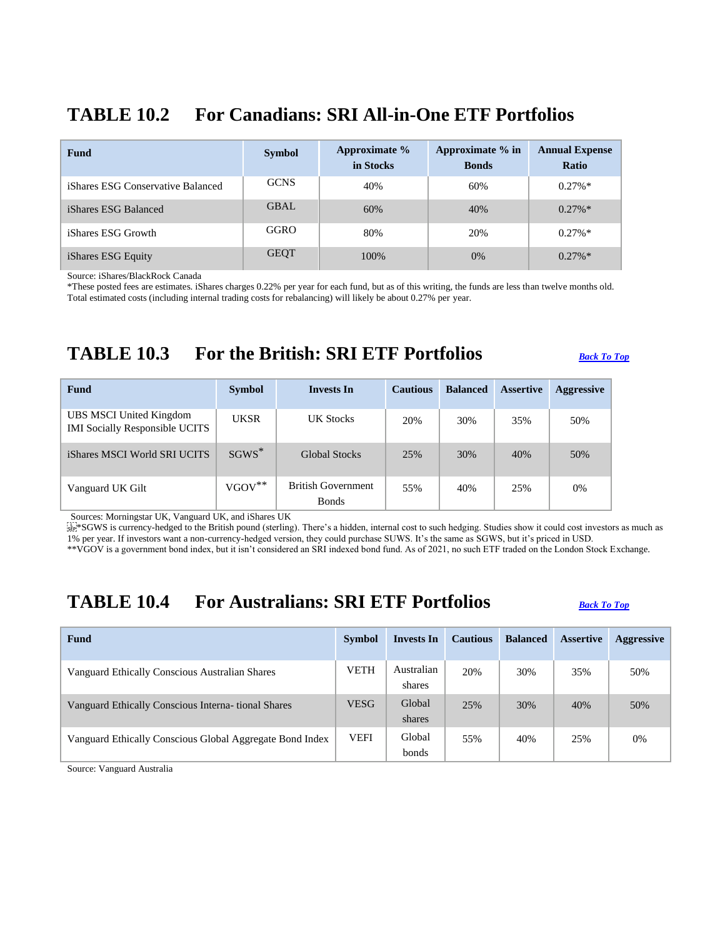## <span id="page-15-0"></span>**TABLE 10.2 For Canadians: SRI All-in-One ETF Portfolios**

| <b>Fund</b>                              | <b>Symbol</b> | Approximate %<br>in Stocks | Approximate % in<br><b>Bonds</b> | <b>Annual Expense</b><br><b>Ratio</b> |
|------------------------------------------|---------------|----------------------------|----------------------------------|---------------------------------------|
| <i>iShares ESG Conservative Balanced</i> | <b>GCNS</b>   | 40%                        | 60%                              | $0.27\%*$                             |
| iShares ESG Balanced                     | GBAL          | 60%                        | 40%                              | $0.27\%*$                             |
| iShares ESG Growth                       | GGRO          | 80%                        | 20%                              | $0.27\%*$                             |
| iShares ESG Equity                       | <b>GEQT</b>   | 100%                       | $0\%$                            | $0.27\%*$                             |

Source: iShares/BlackRock Canada

\*These posted fees are estimates. iShares charges 0.22% per year for each fund, but as of this writing, the funds are less than twelve months old. Total estimated costs (including internal trading costs for rebalancing) will likely be about 0.27% per year.

## <span id="page-15-1"></span>**TABLE 10.3 For the British: SRI ETF Portfolios** *[Back To Top](#page-0-0)*

| <b>Fund</b>                                                      | <b>Symbol</b>     | <b>Invests In</b>                         | <b>Cautious</b> | <b>Balanced</b> | <b>Assertive</b> | <b>Aggressive</b> |
|------------------------------------------------------------------|-------------------|-------------------------------------------|-----------------|-----------------|------------------|-------------------|
| UBS MSCI United Kingdom<br><b>IMI Socially Responsible UCITS</b> | <b>UKSR</b>       | UK Stocks                                 | 20%             | 30%             | 35%              | 50%               |
| iShares MSCI World SRI UCITS                                     | $SGWS^*$          | <b>Global Stocks</b>                      | 25%             | 30%             | 40%              | 50%               |
| Vanguard UK Gilt                                                 | $VGOV^{\ast\ast}$ | <b>British Government</b><br><b>Bonds</b> | 55%             | 40%             | 25%              | $0\%$             |

Sources: Morningstar UK, Vanguard UK, and iShares UK

 $\frac{1}{100}$ \*SGWS is currency-hedged to the British pound (sterling). There's a hidden, internal cost to such hedging. Studies show it could cost investors as much as 1% per year. If investors want a non-currency-hedged version, they could purchase SUWS. It's the same as SGWS, but it's priced in USD.

\*\*VGOV is a government bond index, but it isn't considered an SRI indexed bond fund. As of 2021, no such ETF traded on the London Stock Exchange.

## <span id="page-15-2"></span>**TABLE 10.4 For Australians: SRI ETF Portfolios** *[Back To Top](#page-0-0)*

| Fund                                                     | <b>Symbol</b> | Invests In           | <b>Cautious</b> | <b>Balanced</b> | <b>Assertive</b> | <b>Aggressive</b> |
|----------------------------------------------------------|---------------|----------------------|-----------------|-----------------|------------------|-------------------|
| Vanguard Ethically Conscious Australian Shares           | <b>VETH</b>   | Australian<br>shares | 20%             | 30%             | 35%              | 50%               |
| Vanguard Ethically Conscious Interna- tional Shares      | <b>VESG</b>   | Global<br>shares     | 25%             | 30%             | 40%              | 50%               |
| Vanguard Ethically Conscious Global Aggregate Bond Index | <b>VEFI</b>   | Global<br>bonds      | 55%             | 40%             | 25%              | 0%                |

Source: Vanguard Australia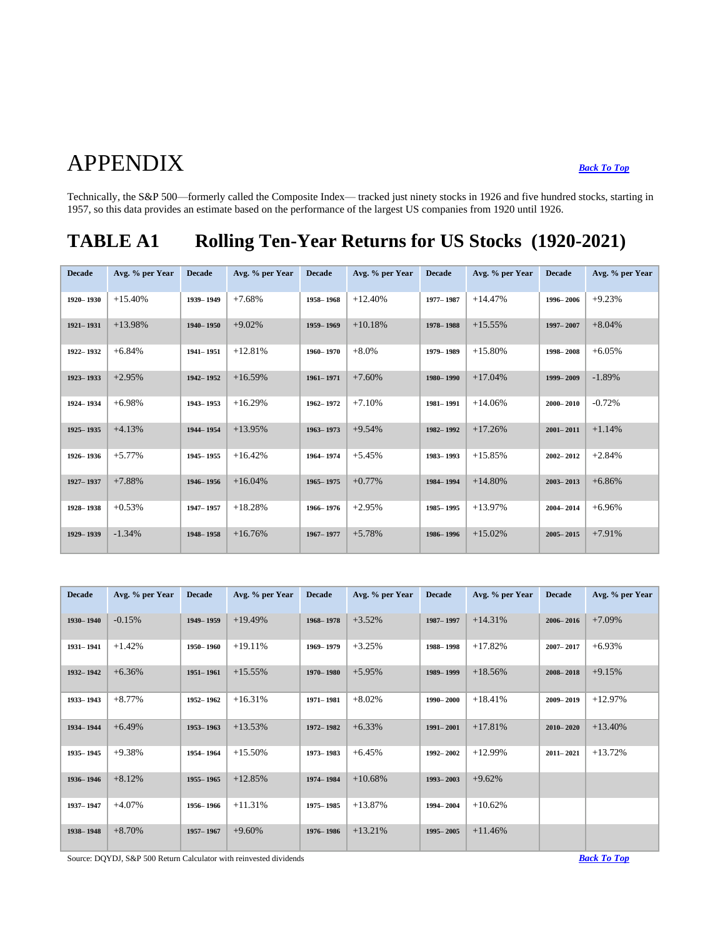# APPENDIX *[Back To Top](#page-0-0)*

Technically, the S&P 500—formerly called the Composite Index— tracked just ninety stocks in 1926 and five hundred stocks, starting in 1957, so this data provides an estimate based on the performance of the largest US companies from 1920 until 1926.

# <span id="page-16-0"></span>**TABLE A1 Rolling Ten-Year Returns for US Stocks (1920-2021)**

| <b>Decade</b> | Avg. % per Year | <b>Decade</b> | Avg. % per Year | <b>Decade</b> | Avg. % per Year | <b>Decade</b> | Avg. % per Year | <b>Decade</b> | Avg. % per Year |
|---------------|-----------------|---------------|-----------------|---------------|-----------------|---------------|-----------------|---------------|-----------------|
| 1920-1930     | $+15.40%$       | 1939-1949     | $+7.68%$        | 1958-1968     | $+12.40%$       | 1977-1987     | $+14.47%$       | 1996-2006     | $+9.23%$        |
| 1921-1931     | $+13.98%$       | 1940-1950     | $+9.02%$        | 1959-1969     | $+10.18%$       | 1978-1988     | $+15.55%$       | 1997-2007     | $+8.04%$        |
| 1922-1932     | $+6.84%$        | 1941-1951     | $+12.81%$       | 1960-1970     | $+8.0%$         | 1979-1989     | $+15.80%$       | 1998-2008     | $+6.05%$        |
| 1923-1933     | $+2.95%$        | 1942-1952     | $+16.59%$       | 1961-1971     | $+7.60%$        | 1980-1990     | $+17.04%$       | 1999-2009     | $-1.89%$        |
| 1924-1934     | $+6.98%$        | 1943-1953     | $+16.29%$       | 1962-1972     | $+7.10%$        | 1981-1991     | $+14.06%$       | $2000 - 2010$ | $-0.72%$        |
| 1925-1935     | $+4.13%$        | 1944-1954     | $+13.95%$       | 1963-1973     | $+9.54%$        | 1982-1992     | $+17.26%$       | $2001 - 2011$ | $+1.14%$        |
| 1926-1936     | $+5.77%$        | 1945-1955     | $+16.42%$       | 1964-1974     | $+5.45%$        | 1983-1993     | $+15.85%$       | $2002 - 2012$ | $+2.84%$        |
| 1927-1937     | $+7.88%$        | 1946-1956     | $+16.04%$       | 1965-1975     | $+0.77%$        | 1984-1994     | $+14.80%$       | $2003 - 2013$ | $+6.86%$        |
| 1928-1938     | $+0.53%$        | 1947-1957     | $+18.28%$       | 1966-1976     | $+2.95%$        | 1985-1995     | $+13.97%$       | 2004-2014     | $+6.96%$        |
| 1929-1939     | $-1.34%$        | 1948-1958     | $+16.76%$       | 1967-1977     | $+5.78%$        | 1986-1996     | $+15.02%$       | $2005 - 2015$ | $+7.91%$        |

| <b>Decade</b> | Avg. % per Year | <b>Decade</b> | Avg. % per Year | <b>Decade</b> | Avg. % per Year | <b>Decade</b> | Avg. % per Year | <b>Decade</b> | Avg. % per Year |
|---------------|-----------------|---------------|-----------------|---------------|-----------------|---------------|-----------------|---------------|-----------------|
| 1930-1940     | $-0.15%$        | 1949-1959     | $+19.49%$       | 1968-1978     | $+3.52%$        | 1987-1997     | $+14.31%$       | $2006 - 2016$ | $+7.09%$        |
| 1931-1941     | $+1.42%$        | 1950-1960     | $+19.11%$       | 1969-1979     | $+3.25%$        | 1988-1998     | $+17.82%$       | $2007 - 2017$ | $+6.93%$        |
| 1932-1942     | $+6.36%$        | 1951-1961     | $+15.55%$       | 1970-1980     | $+5.95%$        | 1989-1999     | $+18.56%$       | $2008 - 2018$ | $+9.15%$        |
| 1933-1943     | $+8.77%$        | 1952-1962     | $+16.31%$       | 1971-1981     | $+8.02%$        | 1990-2000     | $+18.41%$       | 2009-2019     | $+12.97%$       |
| 1934-1944     | $+6.49%$        | 1953-1963     | $+13.53%$       | 1972-1982     | $+6.33%$        | 1991-2001     | $+17.81%$       | $2010 - 2020$ | $+13.40%$       |
| 1935-1945     | $+9.38%$        | 1954-1964     | $+15.50%$       | 1973-1983     | $+6.45%$        | 1992-2002     | $+12.99%$       | $2011 - 2021$ | $+13.72%$       |
| 1936-1946     | $+8.12%$        | 1955-1965     | $+12.85%$       | 1974-1984     | $+10.68%$       | 1993-2003     | $+9.62%$        |               |                 |
| 1937-1947     | $+4.07%$        | 1956-1966     | $+11.31%$       | 1975-1985     | $+13.87%$       | 1994-2004     | $+10.62%$       |               |                 |
| 1938-1948     | $+8.70%$        | 1957-1967     | $+9.60%$        | 1976-1986     | $+13.21%$       | 1995-2005     | $+11.46%$       |               |                 |

Source: DQYDJ, S&P 500 Return Calculator with reinvested dividends **[Back To Top](#page-0-0) Back To Top**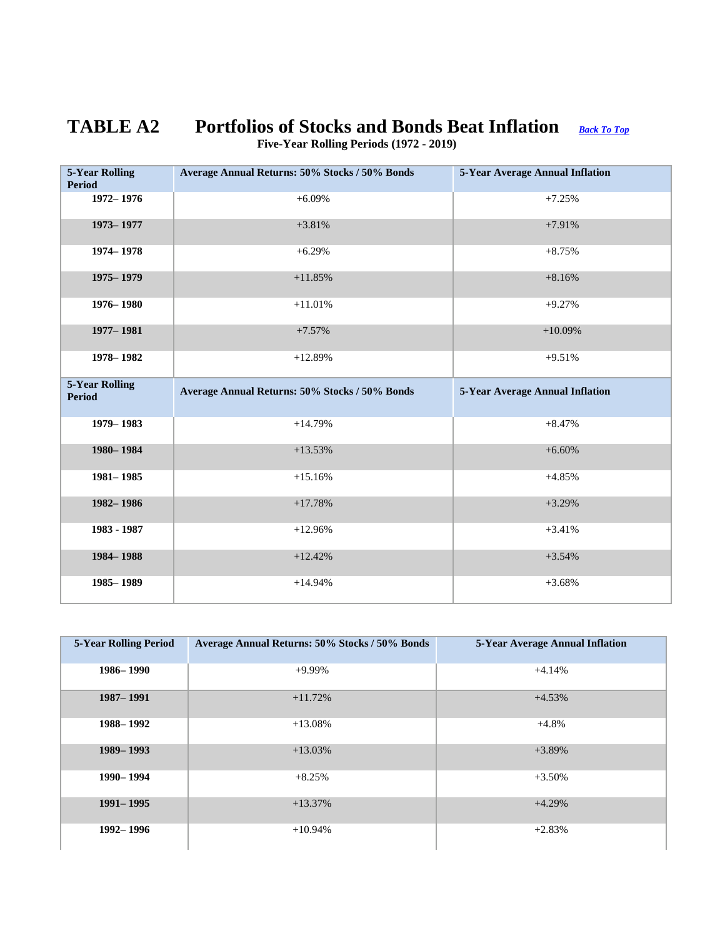# <span id="page-17-0"></span>**TABLE A2 Portfolios of Stocks and Bonds Beat Inflation** *[Back To Top](#page-0-0)*

| <b>5-Year Rolling</b>                  | Average Annual Returns: 50% Stocks / 50% Bonds | 5-Year Average Annual Inflation        |
|----------------------------------------|------------------------------------------------|----------------------------------------|
| <b>Period</b>                          |                                                |                                        |
| 1972-1976                              | $+6.09%$                                       | $+7.25%$                               |
| 1973-1977                              | $+3.81%$                                       | $+7.91%$                               |
| 1974 - 1978                            | $+6.29%$                                       | $+8.75%$                               |
| 1975 - 1979                            | $+11.85%$                                      | $+8.16%$                               |
| 1976 - 1980                            | $+11.01%$                                      | $+9.27%$                               |
| 1977 - 1981                            | $+7.57%$                                       | $+10.09%$                              |
| 1978-1982                              | $+12.89%$                                      | $+9.51%$                               |
|                                        |                                                |                                        |
| <b>5-Year Rolling</b><br><b>Period</b> | Average Annual Returns: 50% Stocks / 50% Bonds | <b>5-Year Average Annual Inflation</b> |
| 1979-1983                              | $+14.79%$                                      | $+8.47%$                               |
| 1980-1984                              | $+13.53%$                                      | $+6.60%$                               |
| 1981-1985                              | $+15.16%$                                      | $+4.85%$                               |
| 1982-1986                              | $+17.78%$                                      | $+3.29%$                               |
| 1983 - 1987                            | $+12.96%$                                      | $+3.41%$                               |
| 1984-1988                              | $+12.42%$                                      | $+3.54%$                               |

 **Five-Year Rolling Periods (1972 - 2019)**

| <b>5-Year Rolling Period</b> | Average Annual Returns: 50% Stocks / 50% Bonds | 5-Year Average Annual Inflation |
|------------------------------|------------------------------------------------|---------------------------------|
| 1986–1990                    | $+9.99\%$                                      | $+4.14%$                        |
| 1987 - 1991                  | $+11.72%$                                      | $+4.53%$                        |
| 1988 – 1992                  | $+13.08\%$                                     | $+4.8%$                         |
| 1989-1993                    | $+13.03\%$                                     | $+3.89%$                        |
| 1990 - 1994                  | $+8.25%$                                       | $+3.50%$                        |
| 1991-1995                    | $+13.37%$                                      | $+4.29%$                        |
| 1992 - 1996                  | $+10.94%$                                      | $+2.83%$                        |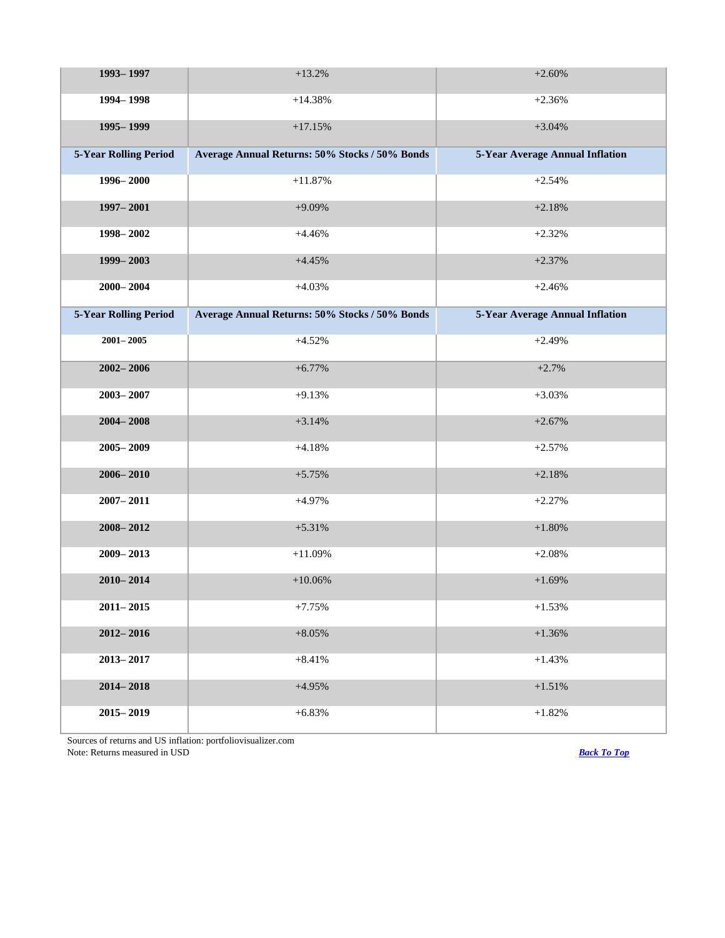| 1993-1997                    | $+13.2%$                                       | $+2.60%$                               |
|------------------------------|------------------------------------------------|----------------------------------------|
| 1994 - 1998                  | $+14.38%$                                      | $+2.36%$                               |
| 1995 - 1999                  | $+17.15%$                                      | $+3.04%$                               |
| <b>5-Year Rolling Period</b> | Average Annual Returns: 50% Stocks / 50% Bonds | 5-Year Average Annual Inflation        |
| 1996 - 2000                  | $+11.87%$                                      | $+2.54%$                               |
| 1997 - 2001                  | $+9.09%$                                       | $+2.18%$                               |
| 1998-2002                    | $+4.46%$                                       | $+2.32%$                               |
| 1999-2003                    | $+4.45%$                                       | $+2.37%$                               |
| $2000 - 2004$                | $+4.03%$                                       | $+2.46%$                               |
| <b>5-Year Rolling Period</b> | Average Annual Returns: 50% Stocks / 50% Bonds | <b>5-Year Average Annual Inflation</b> |
| $2001 - 2005$                | $+4.52%$                                       | $+2.49%$                               |
| $2002 - 2006$                | $+6.77%$                                       | $+2.7%$                                |
| $2003 - 2007$                | $+9.13%$                                       | $+3.03%$                               |
| $2004 - 2008$                | $+3.14%$                                       | $+2.67%$                               |
| $2005 - 2009$                | $+4.18%$                                       | $+2.57%$                               |
| $2006 - 2010$                | $+5.75%$                                       | $+2.18%$                               |
| $2007 - 2011$                | $+4.97%$                                       | $+2.27%$                               |
| $2008 - 2012$                | $+5.31%$                                       | $+1.80%$                               |
| 2009-2013                    | $+11.09%$                                      | $+2.08%$                               |
| $2010 - 2014$                | $+10.06%$                                      | $+1.69%$                               |
| $2011 - 2015$                | $+7.75%$                                       | $+1.53%$                               |
| $2012 - 2016$                | $+8.05%$                                       | $+1.36%$                               |
| $2013 - 2017$                | $+8.41%$                                       | $+1.43%$                               |
| $2014 - 2018$                | $+4.95%$                                       | $+1.51%$                               |
| $2015 - 2019$                | $+6.83%$                                       | $+1.82%$                               |

Sources of returns and US inflation: portfoliovisualizer.com Note: Returns measured in USD *[Back To Top](#page-0-0)*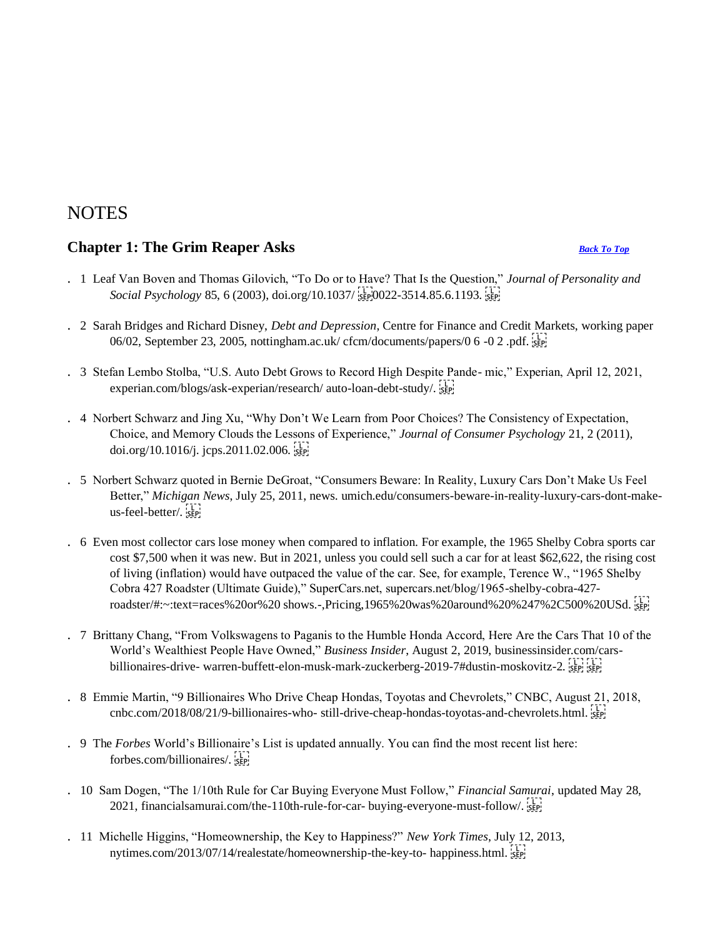## **NOTES**

## <span id="page-19-0"></span>**Chapter 1: The Grim Reaper Asks** *[Back To Top](#page-0-0)*

- . 1 Leaf Van Boven and Thomas Gilovich, "To Do or to Have? That Is the Question," *Journal of Personality and Social Psychology 85, 6 (2003), doi.org/10.1037/ SEP<sub>1</sub>0022-3514.85.6.1193. SEP<sub>1</sub>*
- . 2 Sarah Bridges and Richard Disney, *Debt and Depression*, Centre for Finance and Credit Markets, working paper 06/02, September 23, 2005, nottingham.ac.uk/ cfcm/documents/papers/0 6 -0 2 .pdf.  $\frac{1}{35}$
- . 3 Stefan Lembo Stolba, "U.S. Auto Debt Grows to Record High Despite Pande- mic," Experian, April 12, 2021, experian.com/blogs/ask-experian/research/ auto-loan-debt-study/.
- . 4 Norbert Schwarz and Jing Xu, "Why Don't We Learn from Poor Choices? The Consistency of Expectation, Choice, and Memory Clouds the Lessons of Experience," *Journal of Consumer Psychology* 21, 2 (2011), doi.org/10.1016/j. jcps.2011.02.006.  $\frac{1}{15}$
- . 5 Norbert Schwarz quoted in Bernie DeGroat, "Consumers Beware: In Reality, Luxury Cars Don't Make Us Feel Better," *Michigan News*, July 25, 2011, news. umich.edu/consumers-beware-in-reality-luxury-cars-dont-makeus-feel-better/
- . 6 Even most collector cars lose money when compared to inflation. For example, the 1965 Shelby Cobra sports car cost \$7,500 when it was new. But in 2021, unless you could sell such a car for at least \$62,622, the rising cost of living (inflation) would have outpaced the value of the car. See, for example, Terence W., "1965 Shelby Cobra 427 Roadster (Ultimate Guide)," SuperCars.net, supercars.net/blog/1965-shelby-cobra-427 roadster/#:~:text=races%20or%20 shows.-,Pricing,1965%20was%20around%20%247%2C500%20USd.
- . 7 Brittany Chang, "From Volkswagens to Paganis to the Humble Honda Accord, Here Are the Cars That 10 of the World's Wealthiest People Have Owned," *Business Insider*, August 2, 2019, businessinsider.com/carsbillionaires-drive- warren-buffett-elon-musk-mark-zuckerberg-2019-7#dustin-moskovitz-2. SEP, SEP,
- . 8 Emmie Martin, "9 Billionaires Who Drive Cheap Hondas, Toyotas and Chevrolets," CNBC, August 21, 2018, cnbc.com/2018/08/21/9-billionaires-who- still-drive-cheap-hondas-toyotas-and-chevrolets.html.
- . 9 The *Forbes* World's Billionaire's List is updated annually. You can find the most recent list here: forbes.com/billionaires/.
- . 10 Sam Dogen, "The 1/10th Rule for Car Buying Everyone Must Follow," *Financial Samurai*, updated May 28, 2021, financialsamurai.com/the-110th-rule-for-car- buying-everyone-must-follow/
- . 11 Michelle Higgins, "Homeownership, the Key to Happiness?" *New York Times*, July 12, 2013, nytimes.com/2013/07/14/realestate/homeownership-the-key-to- happiness.html.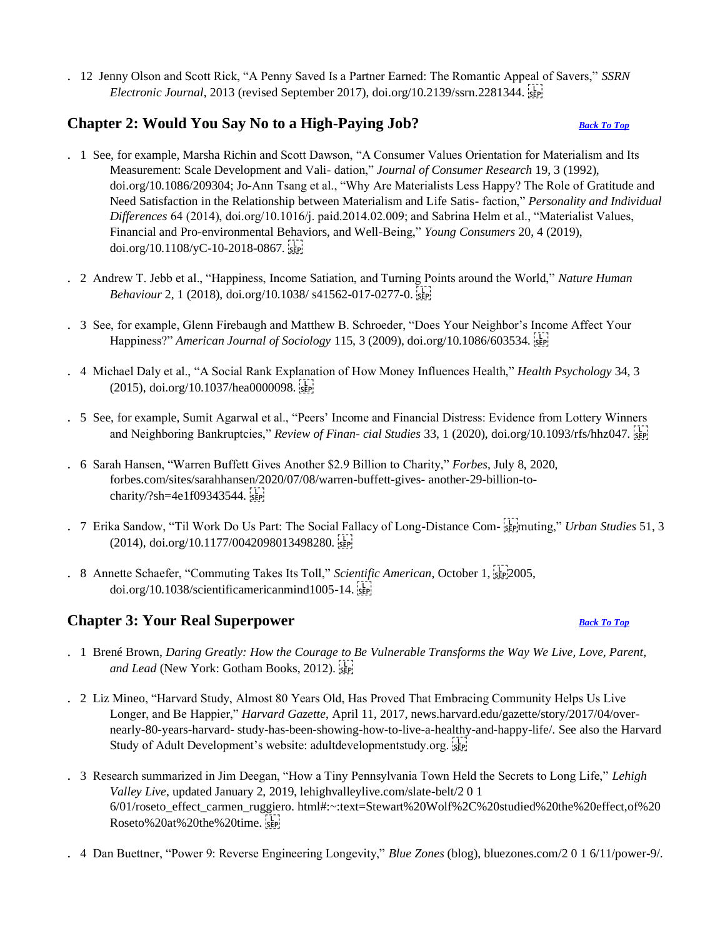. 12 Jenny Olson and Scott Rick, "A Penny Saved Is a Partner Earned: The Romantic Appeal of Savers," *SSRN Electronic Journal*, 2013 (revised September 2017), doi.org/10.2139/ssrn.2281344.

## <span id="page-20-0"></span>**Chapter 2: Would You Say No to a High-Paying Job?** *[Back To Top](#page-0-0)*

- . 1 See, for example, Marsha Richin and Scott Dawson, "A Consumer Values Orientation for Materialism and Its Measurement: Scale Development and Vali- dation," *Journal of Consumer Research* 19, 3 (1992), doi.org/10.1086/209304; Jo-Ann Tsang et al., "Why Are Materialists Less Happy? The Role of Gratitude and Need Satisfaction in the Relationship between Materialism and Life Satis- faction," *Personality and Individual Differences* 64 (2014), doi.org/10.1016/j. paid.2014.02.009; and Sabrina Helm et al., "Materialist Values, Financial and Pro-environmental Behaviors, and Well-Being," *Young Consumers* 20, 4 (2019), doi.org/10.1108/yC-10-2018-0867.
- . 2 Andrew T. Jebb et al., "Happiness, Income Satiation, and Turning Points around the World," *Nature Human Behaviour* 2, 1 (2018), doi.org/10.1038/ s41562-017-0277-0.
- . 3 See, for example, Glenn Firebaugh and Matthew B. Schroeder, "Does Your Neighbor's Income Affect Your Happiness?" *American Journal of Sociology* 115, 3 (2009), doi.org/10.1086/603534.
- . 4 Michael Daly et al., "A Social Rank Explanation of How Money Influences Health," *Health Psychology* 34, 3  $(2015)$ , doi.org/10.1037/hea0000098.
- . 5 See, for example, Sumit Agarwal et al., "Peers' Income and Financial Distress: Evidence from Lottery Winners and Neighboring Bankruptcies," *Review of Finan- cial Studies* 33, 1 (2020), doi.org/10.1093/rfs/hhz047.
- . 6 Sarah Hansen, "Warren Buffett Gives Another \$2.9 Billion to Charity," *Forbes*, July 8, 2020, forbes.com/sites/sarahhansen/2020/07/08/warren-buffett-gives- another-29-billion-tocharity/?sh=4e1f09343544.
- . 7 Erika Sandow, "Til Work Do Us Part: The Social Fallacy of Long-Distance Com- spinuting," *Urban Studies* 51, 3  $(2014)$ , doi.org/10.1177/0042098013498280.
- . 8 Annette Schaefer, "Commuting Takes Its Toll," *Scientific American*, October 1, 2005, doi.org/10.1038/scientificamericanmind1005-14.

## <span id="page-20-1"></span>**Chapter 3: Your Real Superpower** *[Back To Top](#page-0-0)*

- . 1 Brené Brown, *Daring Greatly: How the Courage to Be Vulnerable Transforms the Way We Live, Love, Parent, and Lead* (New York: Gotham Books, 2012).
- . 2 Liz Mineo, "Harvard Study, Almost 80 Years Old, Has Proved That Embracing Community Helps Us Live Longer, and Be Happier," *Harvard Gazette*, April 11, 2017, news.harvard.edu/gazette/story/2017/04/overnearly-80-years-harvard- study-has-been-showing-how-to-live-a-healthy-and-happy-life/. See also the Harvard Study of Adult Development's website: adultdevelopmentstudy.org.
- . 3 Research summarized in Jim Deegan, "How a Tiny Pennsylvania Town Held the Secrets to Long Life," *Lehigh Valley Live*, updated January 2, 2019, lehighvalleylive.com/slate-belt/2 0 1 6/01/roseto\_effect\_carmen\_ruggiero. html#:~:text=Stewart%20Wolf%2C%20studied%20the%20effect,of%20 Roseto%20at%20the%20time.
- . 4 Dan Buettner, "Power 9: Reverse Engineering Longevity," *Blue Zones* (blog), bluezones.com/2 0 1 6/11/power-9/.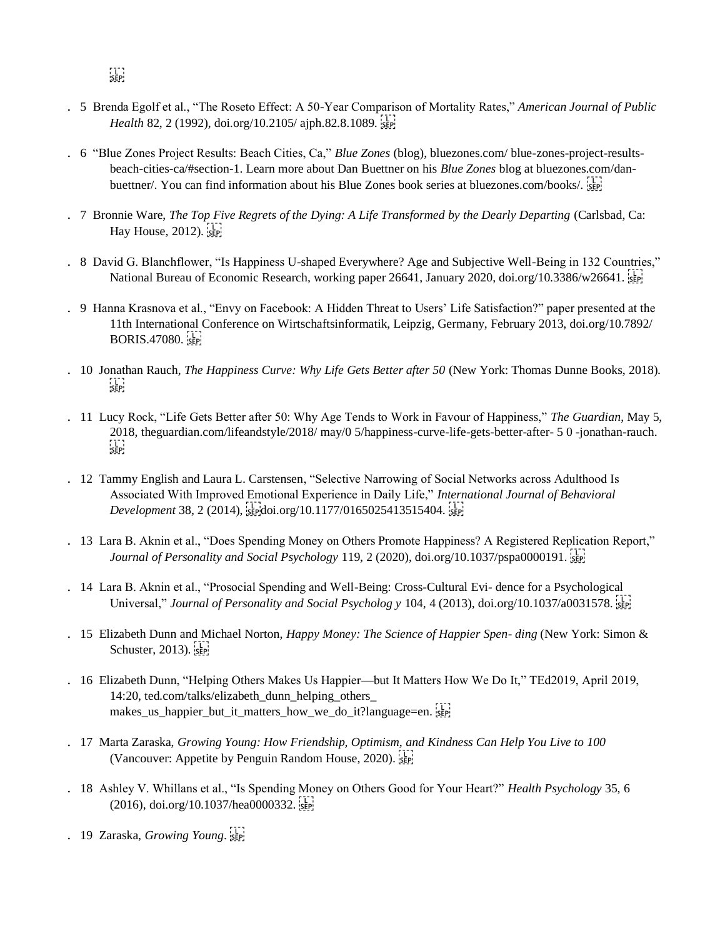- . 5 Brenda Egolf et al., "The Roseto Effect: A 50-Year Comparison of Mortality Rates," *American Journal of Public Health* 82, 2 (1992), doi.org/10.2105/ ajph.82.8.1089.
- . 6 "Blue Zones Project Results: Beach Cities, Ca," *Blue Zones* (blog), bluezones.com/ blue-zones-project-resultsbeach-cities-ca/#section-1. Learn more about Dan Buettner on his *Blue Zones* blog at bluezones.com/danbuettner/. You can find information about his Blue Zones book series at bluezones.com/books/. [56P]
- . 7 Bronnie Ware, *The Top Five Regrets of the Dying: A Life Transformed by the Dearly Departing (Carlsbad, Ca:* Hay House,  $2012$ ).  $\frac{1}{55}$
- . 8 David G. Blanchflower, "Is Happiness U-shaped Everywhere? Age and Subjective Well-Being in 132 Countries," National Bureau of Economic Research, working paper 26641, January 2020, doi.org/10.3386/w26641.
- . 9 Hanna Krasnova et al., "Envy on Facebook: A Hidden Threat to Users' Life Satisfaction?" paper presented at the 11th International Conference on Wirtschaftsinformatik, Leipzig, Germany, February 2013, doi.org/10.7892/ **BORIS.47080.**
- . 10 Jonathan Rauch, *The Happiness Curve: Why Life Gets Better after 50* (New York: Thomas Dunne Books, 2018).  $SEP$
- . 11 Lucy Rock, "Life Gets Better after 50: Why Age Tends to Work in Favour of Happiness," *The Guardian*, May 5, 2018, theguardian.com/lifeandstyle/2018/ may/0 5/happiness-curve-life-gets-better-after- 5 0 -jonathan-rauch.  $SEP$
- . 12 Tammy English and Laura L. Carstensen, "Selective Narrowing of Social Networks across Adulthood Is Associated With Improved Emotional Experience in Daily Life," *International Journal of Behavioral Development* 38, 2 (2014), sterdoi.org/10.1177/0165025413515404.
- . 13 Lara B. Aknin et al., "Does Spending Money on Others Promote Happiness? A Registered Replication Report," *Journal of Personality and Social Psychology* 119, 2 (2020), doi.org/10.1037/pspa0000191.
- . 14 Lara B. Aknin et al., "Prosocial Spending and Well-Being: Cross-Cultural Evi- dence for a Psychological Universal," *Journal of Personality and Social Psycholog y* 104, 4 (2013), doi.org/10.1037/a0031578.
- . 15 Elizabeth Dunn and Michael Norton, *Happy Money: The Science of Happier Spen- ding* (New York: Simon & Schuster,  $2013$ ).  $\frac{1}{5}$ <sub>SEP</sub>
- . 16 Elizabeth Dunn, "Helping Others Makes Us Happier—but It Matters How We Do It," TEd2019, April 2019, 14:20, ted.com/talks/elizabeth\_dunn\_helping\_others\_ makes\_us\_happier\_but\_it\_matters\_how\_we\_do\_it?language=en.
- . 17 Marta Zaraska, *Growing Young: How Friendship, Optimism, and Kindness Can Help You Live to 100*  (Vancouver: Appetite by Penguin Random House, 2020).
- . 18 Ashley V. Whillans et al., "Is Spending Money on Others Good for Your Heart?" *Health Psychology* 35, 6  $(2016)$ , doi.org/10.1037/hea0000332.
- . 19 Zaraska, *Growing Young*.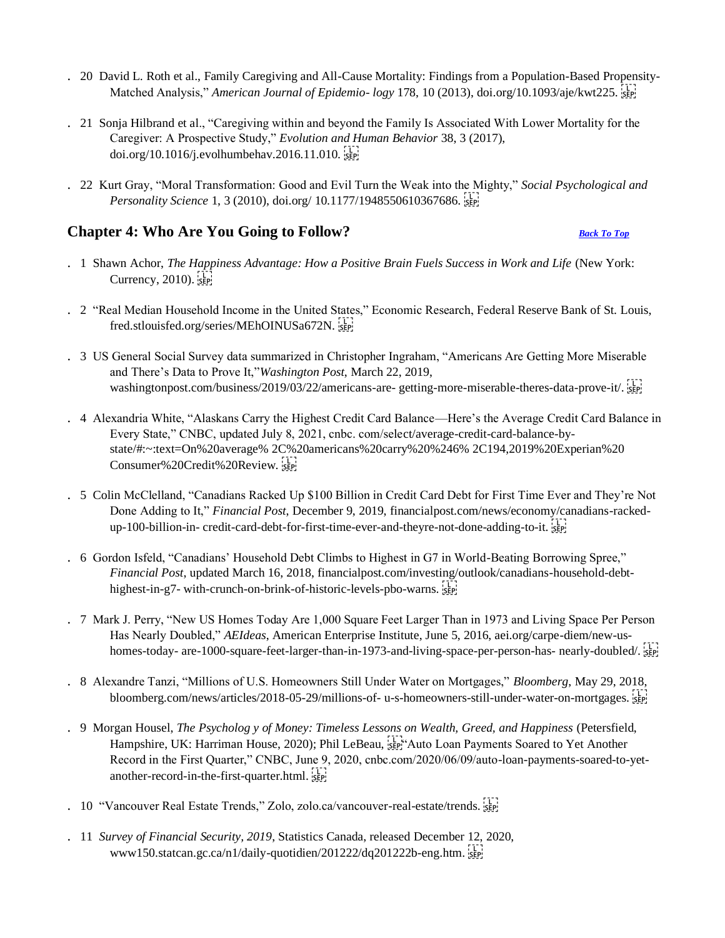- . 20 David L. Roth et al., Family Caregiving and All-Cause Mortality: Findings from a Population-Based Propensity-Matched Analysis," *American Journal of Epidemio- logy* 178, 10 (2013), doi.org/10.1093/aje/kwt225.
- . 21 Sonja Hilbrand et al., "Caregiving within and beyond the Family Is Associated With Lower Mortality for the Caregiver: A Prospective Study," *Evolution and Human Behavior* 38, 3 (2017), doi.org/10.1016/j.evolhumbehav.2016.11.010.
- . 22 Kurt Gray, "Moral Transformation: Good and Evil Turn the Weak into the Mighty," *Social Psychological and Personality Science* 1, 3 (2010), doi.org/ 10.1177/1948550610367686.

## <span id="page-22-0"></span>**Chapter 4: Who Are You Going to Follow?** *[Back To Top](#page-0-0)*

- 
- . 1 Shawn Achor, *The Happiness Advantage: How a Positive Brain Fuels Success in Work and Life* (New York: Currency,  $2010$ ).  $\frac{1}{5}$
- . 2 "Real Median Household Income in the United States," Economic Research, Federal Reserve Bank of St. Louis, fred.stlouisfed.org/series/MEhOINUSa672N.
- . 3 US General Social Survey data summarized in Christopher Ingraham, "Americans Are Getting More Miserable and There's Data to Prove It,"*Washington Post*, March 22, 2019, washingtonpost.com/business/2019/03/22/americans-are- getting-more-miserable-theres-data-prove-it/.
- . 4 Alexandria White, "Alaskans Carry the Highest Credit Card Balance—Here's the Average Credit Card Balance in Every State," CNBC, updated July 8, 2021, cnbc. com/select/average-credit-card-balance-bystate/#:~:text=On%20average% 2C%20americans%20carry%20%246% 2C194,2019%20Experian%20 Consumer%20Credit%20Review.
- . 5 Colin McClelland, "Canadians Racked Up \$100 Billion in Credit Card Debt for First Time Ever and They're Not Done Adding to It," *Financial Post*, December 9, 2019, financialpost.com/news/economy/canadians-rackedup-100-billion-in- credit-card-debt-for-first-time-ever-and-theyre-not-done-adding-to-it.
- . 6 Gordon Isfeld, "Canadians' Household Debt Climbs to Highest in G7 in World-Beating Borrowing Spree," *Financial Post*, updated March 16, 2018, financialpost.com/investing/outlook/canadians-household-debthighest-in-g7- with-crunch-on-brink-of-historic-levels-pbo-warns.
- . 7 Mark J. Perry, "New US Homes Today Are 1,000 Square Feet Larger Than in 1973 and Living Space Per Person Has Nearly Doubled," *AEIdeas*, American Enterprise Institute, June 5, 2016, aei.org/carpe-diem/new-ushomes-today- are-1000-square-feet-larger-than-in-1973-and-living-space-per-person-has- nearly-doubled/. sep!
- . 8 Alexandre Tanzi, "Millions of U.S. Homeowners Still Under Water on Mortgages," *Bloomberg*, May 29, 2018, bloomberg.com/news/articles/2018-05-29/millions-of- u-s-homeowners-still-under-water-on-mortgages.  $\frac{1}{25}$
- . 9 Morgan Housel, *The Psycholog y of Money: Timeless Lessons on Wealth, Greed, and Happiness* (Petersfield, Hampshire, UK: Harriman House, 2020); Phil LeBeau, see Auto Loan Payments Soared to Yet Another Record in the First Quarter," CNBC, June 9, 2020, cnbc.com/2020/06/09/auto-loan-payments-soared-to-yetanother-record-in-the-first-quarter.html.
- . 10 "Vancouver Real Estate Trends," Zolo, zolo.ca/vancouver-real-estate/trends.
- . 11 *Survey of Financial Security, 2019*, Statistics Canada, released December 12, 2020, www150.statcan.gc.ca/n1/daily-quotidien/201222/dq201222b-eng.htm.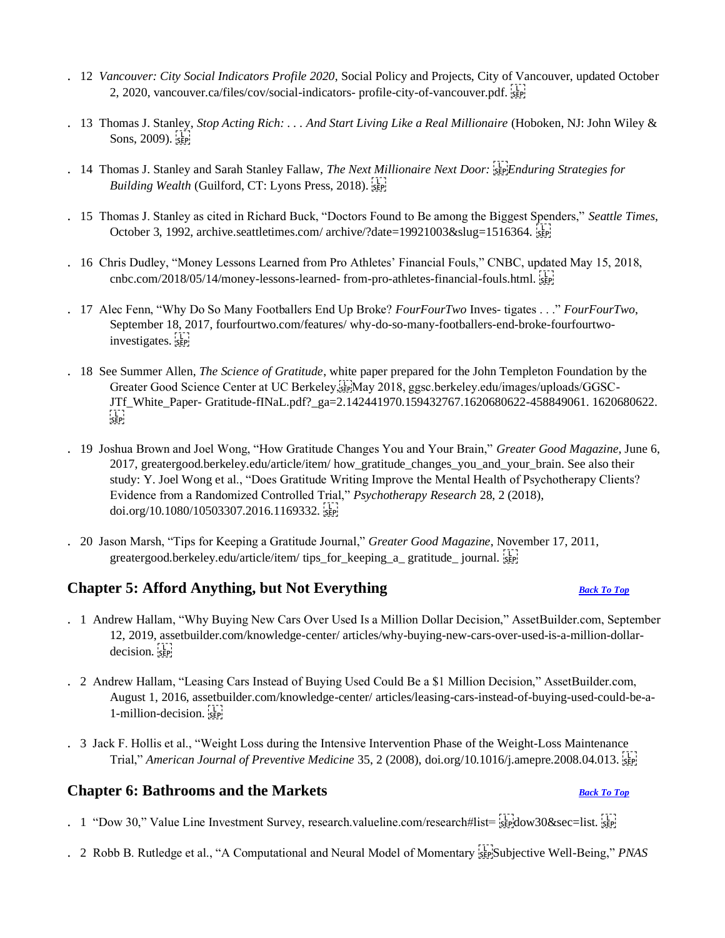- . 12 *Vancouver: City Social Indicators Profile 2020*, Social Policy and Projects, City of Vancouver, updated October 2, 2020, vancouver.ca/files/cov/social-indicators- profile-city-of-vancouver.pdf.
- . 13 Thomas J. Stanley, *Stop Acting Rich: . . . And Start Living Like a Real Millionaire* (Hoboken, NJ: John Wiley & Sons,  $2009$ ).  $5 = 1$
- . 14 Thomas J. Stanley and Sarah Stanley Fallaw, *The Next Millionaire Next Door: Enduring Strategies for Building Wealth (Guilford, CT: Lyons Press, 2018).* **SEP!**
- . 15 Thomas J. Stanley as cited in Richard Buck, "Doctors Found to Be among the Biggest Spenders," *Seattle Times*, October 3, 1992, archive.seattletimes.com/ archive/?date=19921003&slug=1516364.
- . 16 Chris Dudley, "Money Lessons Learned from Pro Athletes' Financial Fouls," CNBC, updated May 15, 2018, cnbc.com/2018/05/14/money-lessons-learned- from-pro-athletes-financial-fouls.html.
- . 17 Alec Fenn, "Why Do So Many Footballers End Up Broke? *FourFourTwo* Inves- tigates . . ." *FourFourTwo*, September 18, 2017, fourfourtwo.com/features/ why-do-so-many-footballers-end-broke-fourfourtwoinvestigates.
- . 18 See Summer Allen, *The Science of Gratitude*, white paper prepared for the John Templeton Foundation by the Greater Good Science Center at UC Berkeley,
May 2018, ggsc.berkeley.edu/images/uploads/GGSC-JTf\_White\_Paper- Gratitude-fINaL.pdf?\_ga=2.142441970.159432767.1620680622-458849061. 1620680622.  $\sum_{i \in \mathbf{P}}$
- . 19 Joshua Brown and Joel Wong, "How Gratitude Changes You and Your Brain," *Greater Good Magazine*, June 6, 2017, greatergood.berkeley.edu/article/item/ how\_gratitude\_changes\_you\_and\_your\_brain. See also their study: Y. Joel Wong et al., "Does Gratitude Writing Improve the Mental Health of Psychotherapy Clients? Evidence from a Randomized Controlled Trial," *Psychotherapy Research* 28, 2 (2018), doi.org/10.1080/10503307.2016.1169332.
- . 20 Jason Marsh, "Tips for Keeping a Gratitude Journal," *Greater Good Magazine*, November 17, 2011, greatergood.berkeley.edu/article/item/ tips\_for\_keeping\_a\_ gratitude\_ journal. see

## <span id="page-23-0"></span>**Chapter 5: Afford Anything, but Not Everything** *[Back To Top](#page-0-0)*

- . 1 Andrew Hallam, "Why Buying New Cars Over Used Is a Million Dollar Decision," AssetBuilder.com, September 12, 2019, assetbuilder.com/knowledge-center/ articles/why-buying-new-cars-over-used-is-a-million-dollardecision. sep
- . 2 Andrew Hallam, "Leasing Cars Instead of Buying Used Could Be a \$1 Million Decision," AssetBuilder.com, August 1, 2016, assetbuilder.com/knowledge-center/ articles/leasing-cars-instead-of-buying-used-could-be-a-1-million-decision. see
- . 3 Jack F. Hollis et al., "Weight Loss during the Intensive Intervention Phase of the Weight-Loss Maintenance Trial," *American Journal of Preventive Medicine* 35, 2 (2008), doi.org/10.1016/j.amepre.2008.04.013.

## <span id="page-23-1"></span>**Chapter 6: Bathrooms and the Markets** *[Back To Top](#page-0-0)*

- . 1 "Dow 30," Value Line Investment Survey, research.valueline.com/research#list=  $\frac{1}{15}$ erdow30&sec=list.
- . 2 Robb B. Rutledge et al., "A Computational and Neural Model of Momentary Subjective Well-Being," *PNAS*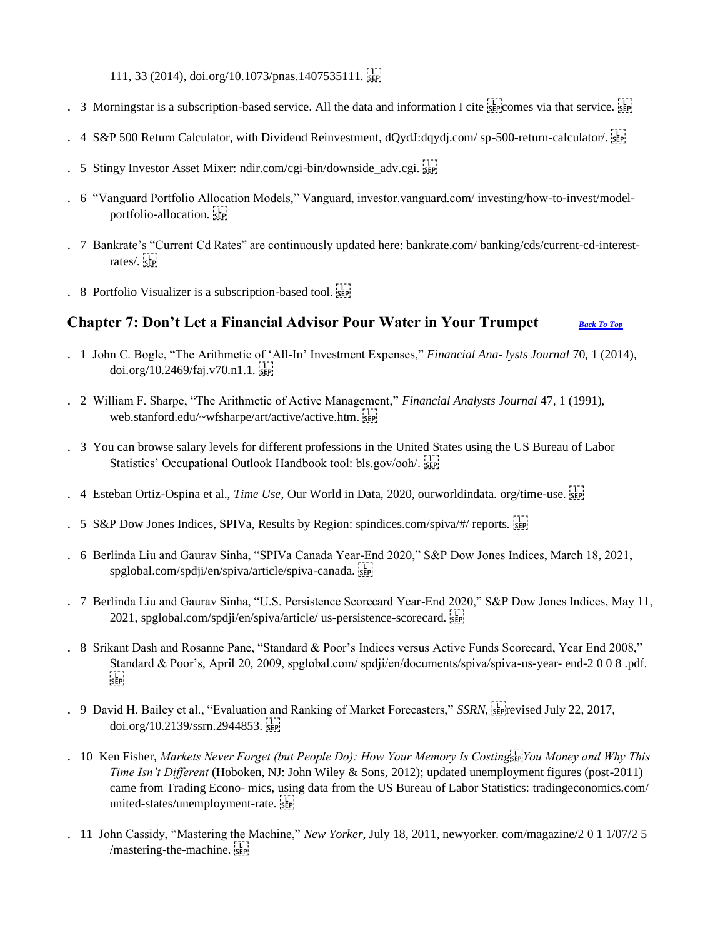111, 33 (2014), doi.org/10.1073/pnas.1407535111.

- . 3 Morningstar is a subscription-based service. All the data and information I cite step comes via that service. SEP
- . 4 S&P 500 Return Calculator, with Dividend Reinvestment, dQydJ:dqydj.com/sp-500-return-calculator/.
- . 5 Stingy Investor Asset Mixer: ndir.com/cgi-bin/downside\_adv.cgi.
- . 6 "Vanguard Portfolio Allocation Models," Vanguard, investor.vanguard.com/ investing/how-to-invest/modelportfolio-allocation.
- . 7 Bankrate's "Current Cd Rates" are continuously updated here: bankrate.com/ banking/cds/current-cd-interestrates/. sep-
- . 8 Portfolio Visualizer is a subscription-based tool.  $\frac{1}{15}$

## <span id="page-24-0"></span>**Chapter 7: Don't Let a Financial Advisor Pour Water in Your Trumpet** *[Back To Top](#page-0-0)*

- . 1 John C. Bogle, "The Arithmetic of 'All-In' Investment Expenses," *Financial Ana- lysts Journal* 70, 1 (2014), doi.org/10.2469/faj.v70.n1.1.
- . 2 William F. Sharpe, "The Arithmetic of Active Management," *Financial Analysts Journal* 47, 1 (1991), web.stanford.edu/~wfsharpe/art/active/active.htm.
- . 3 You can browse salary levels for different professions in the United States using the US Bureau of Labor Statistics' Occupational Outlook Handbook tool: bls.gov/ooh/. SEP!
- . 4 Esteban Ortiz-Ospina et al., *Time Use*, Our World in Data, 2020, ourworldindata. org/time-use.
- . 5 S&P Dow Jones Indices, SPIVa, Results by Region: spindices.com/spiva/#/ reports.
- . 6 Berlinda Liu and Gaurav Sinha, "SPIVa Canada Year-End 2020," S&P Dow Jones Indices, March 18, 2021, spglobal.com/spdji/en/spiva/article/spiva-canada.
- . 7 Berlinda Liu and Gaurav Sinha, "U.S. Persistence Scorecard Year-End 2020," S&P Dow Jones Indices, May 11, 2021, spglobal.com/spdji/en/spiva/article/ us-persistence-scorecard.  $\frac{1}{2}$
- . 8 Srikant Dash and Rosanne Pane, "Standard & Poor's Indices versus Active Funds Scorecard, Year End 2008," Standard & Poor's, April 20, 2009, spglobal.com/ spdji/en/documents/spiva/spiva-us-year- end-2 0 0 8 .pdf.  $SEP$
- . 9 David H. Bailey et al., "Evaluation and Ranking of Market Forecasters," *SSRN*, <sup>177</sup> revised July 22, 2017, doi.org/10.2139/ssrn.2944853.
- . 10 Ken Fisher, *Markets Never Forget (but People Do): How Your Memory Is Costing* sep You Money and Why This *Time Isn't Different* (Hoboken, NJ: John Wiley & Sons, 2012); updated unemployment figures (post-2011) came from Trading Econo- mics, using data from the US Bureau of Labor Statistics: tradingeconomics.com/ united-states/unemployment-rate.
- . 11 John Cassidy, "Mastering the Machine," *New Yorker*, July 18, 2011, newyorker. com/magazine/2 0 1 1/07/2 5 /mastering-the-machine.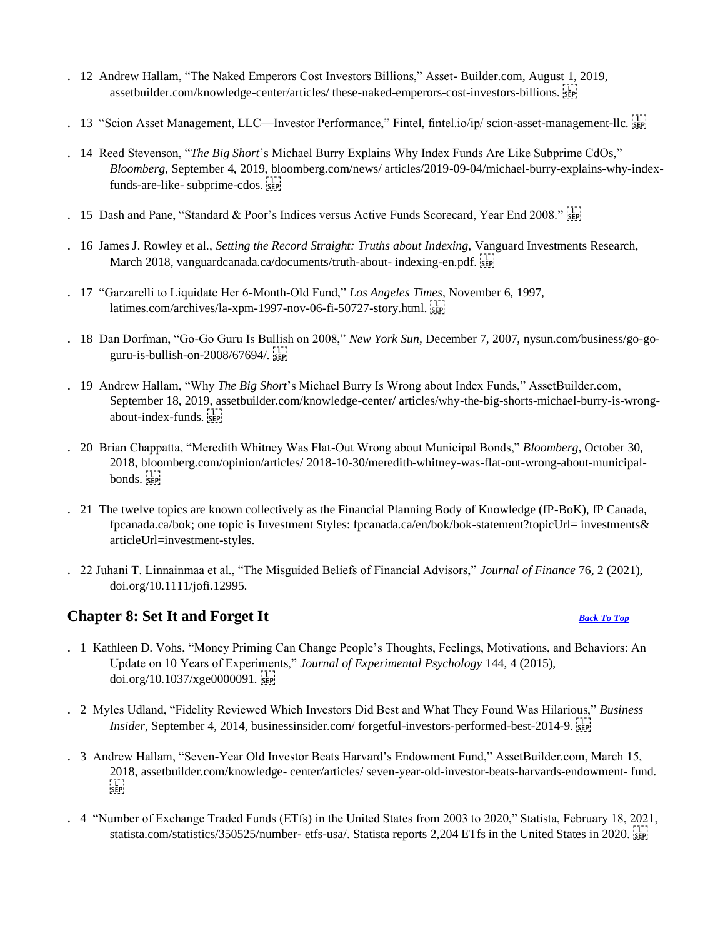- . 12 Andrew Hallam, "The Naked Emperors Cost Investors Billions," Asset- Builder.com, August 1, 2019, assetbuilder.com/knowledge-center/articles/ these-naked-emperors-cost-investors-billions.
- . 13 "Scion Asset Management, LLC—Investor Performance," Fintel, fintel.io/ip/ scion-asset-management-llc. sep
- . 14 Reed Stevenson, "*The Big Short*'s Michael Burry Explains Why Index Funds Are Like Subprime CdOs," *Bloomberg*, September 4, 2019, bloomberg.com/news/ articles/2019-09-04/michael-burry-explains-why-indexfunds-are-like- subprime-cdos.
- . 15 Dash and Pane, "Standard & Poor's Indices versus Active Funds Scorecard, Year End 2008." SEP!
- . 16 James J. Rowley et al., *Setting the Record Straight: Truths about Indexing*, Vanguard Investments Research, March 2018, vanguardcanada.ca/documents/truth-about- indexing-en.pdf.
- . 17 "Garzarelli to Liquidate Her 6-Month-Old Fund," *Los Angeles Times*, November 6, 1997, latimes.com/archives/la-xpm-1997-nov-06-fi-50727-story.html.
- . 18 Dan Dorfman, "Go-Go Guru Is Bullish on 2008," *New York Sun*, December 7, 2007, nysun.com/business/go-goguru-is-bullish-on-2008/67694/
- . 19 Andrew Hallam, "Why *The Big Short*'s Michael Burry Is Wrong about Index Funds," AssetBuilder.com, September 18, 2019, assetbuilder.com/knowledge-center/ articles/why-the-big-shorts-michael-burry-is-wrongabout-index-funds.
- . 20 Brian Chappatta, "Meredith Whitney Was Flat-Out Wrong about Municipal Bonds," *Bloomberg*, October 30, 2018, bloomberg.com/opinion/articles/ 2018-10-30/meredith-whitney-was-flat-out-wrong-about-municipalbonds. sep-
- . 21 The twelve topics are known collectively as the Financial Planning Body of Knowledge (fP-BoK), fP Canada, fpcanada.ca/bok; one topic is Investment Styles: fpcanada.ca/en/bok/bok-statement?topicUrl= investments& articleUrl=investment-styles.
- . 22 Juhani T. Linnainmaa et al., "The Misguided Beliefs of Financial Advisors," *Journal of Finance* 76, 2 (2021), doi.org/10.1111/jofi.12995.

## <span id="page-25-0"></span>**Chapter 8: Set It and Forget It** *[Back To Top](#page-0-0)*

- . 1 Kathleen D. Vohs, "Money Priming Can Change People's Thoughts, Feelings, Motivations, and Behaviors: An Update on 10 Years of Experiments," *Journal of Experimental Psychology* 144, 4 (2015), doi.org/10.1037/xge0000091.
- . 2 Myles Udland, "Fidelity Reviewed Which Investors Did Best and What They Found Was Hilarious," *Business Insider*, September 4, 2014, businessinsider.com/ forgetful-investors-performed-best-2014-9. SEP!
- . 3 Andrew Hallam, "Seven-Year Old Investor Beats Harvard's Endowment Fund," AssetBuilder.com, March 15, 2018, assetbuilder.com/knowledge- center/articles/ seven-year-old-investor-beats-harvards-endowment- fund.  $SEP$
- . 4 "Number of Exchange Traded Funds (ETfs) in the United States from 2003 to 2020," Statista, February 18, 2021, statista.com/statistics/350525/number- etfs-usa/. Statista reports 2,204 ETfs in the United States in 2020.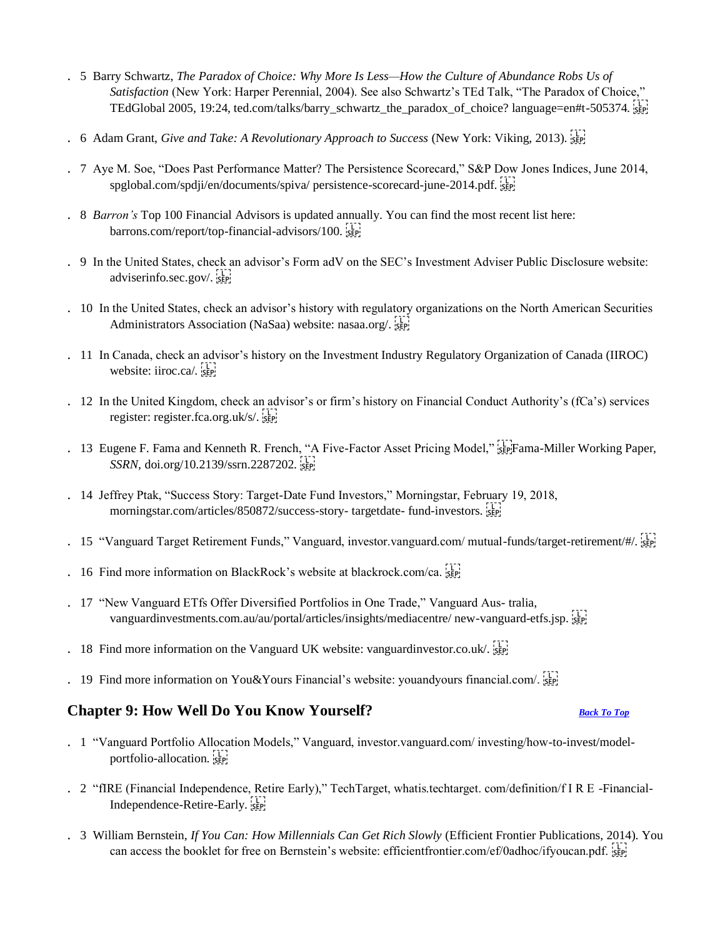- . 5 Barry Schwartz, *The Paradox of Choice: Why More Is Less—How the Culture of Abundance Robs Us of Satisfaction* (New York: Harper Perennial, 2004). See also Schwartz's TEd Talk, "The Paradox of Choice," TEdGlobal 2005, 19:24, ted.com/talks/barry\_schwartz\_the\_paradox\_of\_choice? language=en#t-505374.
- . 6 Adam Grant, *Give and Take: A Revolutionary Approach to Success* (New York: Viking, 2013).
- . 7 Aye M. Soe, "Does Past Performance Matter? The Persistence Scorecard," S&P Dow Jones Indices, June 2014, spglobal.com/spdji/en/documents/spiva/ persistence-scorecard-june-2014.pdf.
- . 8 *Barron's* Top 100 Financial Advisors is updated annually. You can find the most recent list here: barrons.com/report/top-financial-advisors/100.
- . 9 In the United States, check an advisor's Form adV on the SEC's Investment Adviser Public Disclosure website: adviserinfo.sec.gov/.
- . 10 In the United States, check an advisor's history with regulatory organizations on the North American Securities Administrators Association (NaSaa) website: nasaa.org/.
- . 11 In Canada, check an advisor's history on the Investment Industry Regulatory Organization of Canada (IIROC) website: iiroc.ca/. sep
- . 12 In the United Kingdom, check an advisor's or firm's history on Financial Conduct Authority's (fCa's) services register: register.fca.org.uk/s/.
- . 13 Eugene F. Fama and Kenneth R. French, "A Five-Factor Asset Pricing Model," SEPFama-Miller Working Paper, *SSRN*, doi.org/10.2139/ssrn.2287202.
- . 14 Jeffrey Ptak, "Success Story: Target-Date Fund Investors," Morningstar, February 19, 2018, morningstar.com/articles/850872/success-story-targetdate- fund-investors.
- . 15 "Vanguard Target Retirement Funds," Vanguard, investor.vanguard.com/ mutual-funds/target-retirement/#/.
- . 16 Find more information on BlackRock's website at blackrock.com/ca.
- . 17 "New Vanguard ETfs Offer Diversified Portfolios in One Trade," Vanguard Aus- tralia, vanguardinvestments.com.au/au/portal/articles/insights/mediacentre/ new-vanguard-etfs.jsp.
- . 18 Find more information on the Vanguard UK website: vanguardinvestor.co.uk/.
- . 19 Find more information on You&Yours Financial's website: youandyours financial.com/.

### <span id="page-26-0"></span>**Chapter 9: How Well Do You Know Yourself?** *[Back To Top](#page-0-0)*

- . 1 "Vanguard Portfolio Allocation Models," Vanguard, investor.vanguard.com/ investing/how-to-invest/modelportfolio-allocation.
- . 2 "fIRE (Financial Independence, Retire Early)," TechTarget, whatis.techtarget. com/definition/f I R E -Financial-Independence-Retire-Early.
- . 3 William Bernstein, *If You Can: How Millennials Can Get Rich Slowly* (Efficient Frontier Publications, 2014). You can access the booklet for free on Bernstein's website: efficientfrontier.com/ef/0adhoc/ifyoucan.pdf.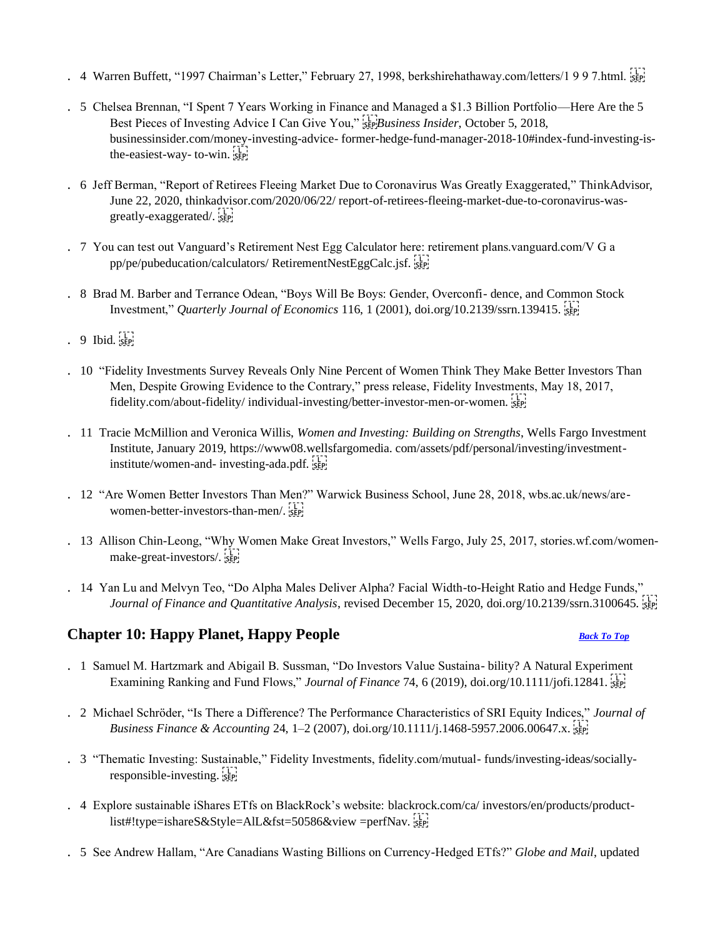- . 4 Warren Buffett, "1997 Chairman's Letter," February 27, 1998, berkshirehathaway.com/letters/1 9 9 7.html.
- . 5 Chelsea Brennan, "I Spent 7 Years Working in Finance and Managed a \$1.3 Billion Portfolio—Here Are the 5 Best Pieces of Investing Advice I Can Give You," *BEP Business Insider*, October 5, 2018, businessinsider.com/money-investing-advice- former-hedge-fund-manager-2018-10#index-fund-investing-isthe-easiest-way- to-win.
- . 6 Jeff Berman, "Report of Retirees Fleeing Market Due to Coronavirus Was Greatly Exaggerated," ThinkAdvisor, June 22, 2020, thinkadvisor.com/2020/06/22/ report-of-retirees-fleeing-market-due-to-coronavirus-wasgreatly-exaggerated/
- . 7 You can test out Vanguard's Retirement Nest Egg Calculator here: retirement plans.vanguard.com/V G a pp/pe/pubeducation/calculators/ RetirementNestEggCalc.jsf.
- . 8 Brad M. Barber and Terrance Odean, "Boys Will Be Boys: Gender, Overconfi- dence, and Common Stock Investment," *Quarterly Journal of Economics* 116, 1 (2001), doi.org/10.2139/ssrn.139415.
- $. 9$  Ibid.  $55$
- . 10 "Fidelity Investments Survey Reveals Only Nine Percent of Women Think They Make Better Investors Than Men, Despite Growing Evidence to the Contrary," press release, Fidelity Investments, May 18, 2017, fidelity.com/about-fidelity/ individual-investing/better-investor-men-or-women.
- . 11 Tracie McMillion and Veronica Willis, *Women and Investing: Building on Strengths*, Wells Fargo Investment Institute, January 2019, https://www08.wellsfargomedia. com/assets/pdf/personal/investing/investmentinstitute/women-and- investing-ada.pdf.
- . 12 "Are Women Better Investors Than Men?" Warwick Business School, June 28, 2018, wbs.ac.uk/news/arewomen-better-investors-than-men/. sep.
- . 13 Allison Chin-Leong, "Why Women Make Great Investors," Wells Fargo, July 25, 2017, stories.wf.com/womenmake-great-investors/.
- . 14 Yan Lu and Melvyn Teo, "Do Alpha Males Deliver Alpha? Facial Width-to-Height Ratio and Hedge Funds," *Journal of Finance and Quantitative Analysis*, revised December 15, 2020, doi.org/10.2139/ssrn.3100645.

## <span id="page-27-0"></span>**Chapter 10: Happy Planet, Happy People** *[Back To Top](#page-0-0)*

- . 1 Samuel M. Hartzmark and Abigail B. Sussman, "Do Investors Value Sustaina- bility? A Natural Experiment Examining Ranking and Fund Flows," *Journal of Finance* 74, 6 (2019), doi.org/10.1111/jofi.12841.
- . 2 Michael Schröder, "Is There a Difference? The Performance Characteristics of SRI Equity Indices," *Journal of Business Finance & Accounting* 24, 1–2 (2007), doi.org/10.1111/j.1468-5957.2006.00647.x.
- . 3 "Thematic Investing: Sustainable," Fidelity Investments, fidelity.com/mutual- funds/investing-ideas/sociallyresponsible-investing.
- . 4 Explore sustainable iShares ETfs on BlackRock's website: blackrock.com/ca/ investors/en/products/productlist#!type=ishareS&Style=AlL&fst=50586&view =perfNav.
- . 5 See Andrew Hallam, "Are Canadians Wasting Billions on Currency-Hedged ETfs?" *Globe and Mail*, updated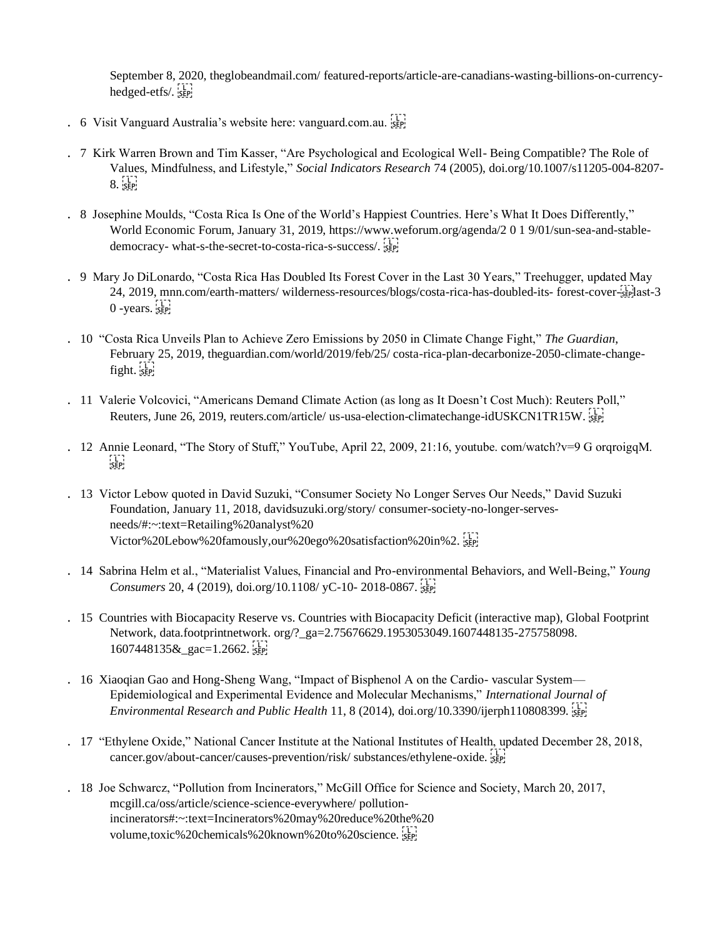September 8, 2020, theglobeandmail.com/ featured-reports/article-are-canadians-wasting-billions-on-currencyhedged-etfs/.

- . 6 Visit Vanguard Australia's website here: vanguard.com.au.
- . 7 Kirk Warren Brown and Tim Kasser, "Are Psychological and Ecological Well- Being Compatible? The Role of Values, Mindfulness, and Lifestyle," *Social Indicators Research* 74 (2005), doi.org/10.1007/s11205-004-8207-  $8.55$
- . 8 Josephine Moulds, "Costa Rica Is One of the World's Happiest Countries. Here's What It Does Differently," World Economic Forum, January 31, 2019, https://www.weforum.org/agenda/2 0 1 9/01/sun-sea-and-stabledemocracy- what-s-the-secret-to-costa-rica-s-success/.
- . 9 Mary Jo DiLonardo, "Costa Rica Has Doubled Its Forest Cover in the Last 30 Years," Treehugger, updated May 24, 2019, mnn.com/earth-matters/ wilderness-resources/blogs/costa-rica-has-doubled-its- forest-cover- $\frac{1}{15}$ glast-3  $0$  -years.  $\frac{1}{5}$
- . 10 "Costa Rica Unveils Plan to Achieve Zero Emissions by 2050 in Climate Change Fight," *The Guardian*, February 25, 2019, theguardian.com/world/2019/feb/25/ costa-rica-plan-decarbonize-2050-climate-changefight. sep-
- . 11 Valerie Volcovici, "Americans Demand Climate Action (as long as It Doesn't Cost Much): Reuters Poll," Reuters, June 26, 2019, reuters.com/article/ us-usa-election-climatechange-idUSKCN1TR15W.
- . 12 Annie Leonard, "The Story of Stuff," YouTube, April 22, 2009, 21:16, youtube. com/watch?v=9 G orqroigqM.  $\frac{1}{2}$
- . 13 Victor Lebow quoted in David Suzuki, "Consumer Society No Longer Serves Our Needs," David Suzuki Foundation, January 11, 2018, davidsuzuki.org/story/ consumer-society-no-longer-servesneeds/#:~:text=Retailing%20analyst%20 Victor%20Lebow%20famously,our%20ego%20satisfaction%20in%2.
- . 14 Sabrina Helm et al., "Materialist Values, Financial and Pro-environmental Behaviors, and Well-Being," *Young Consumers* 20, 4 (2019), doi.org/10.1108/ yC-10- 2018-0867.
- . 15 Countries with Biocapacity Reserve vs. Countries with Biocapacity Deficit (interactive map), Global Footprint Network, data.footprintnetwork. org/? ga=2.75676629.1953053049.1607448135-275758098. 1607448135& gac=1.2662.
- . 16 Xiaoqian Gao and Hong-Sheng Wang, "Impact of Bisphenol A on the Cardio- vascular System— Epidemiological and Experimental Evidence and Molecular Mechanisms," *International Journal of Environmental Research and Public Health* 11, 8 (2014), doi.org/10.3390/ijerph110808399.
- . 17 "Ethylene Oxide," National Cancer Institute at the National Institutes of Health, updated December 28, 2018, cancer.gov/about-cancer/causes-prevention/risk/ substances/ethylene-oxide.
- . 18 Joe Schwarcz, "Pollution from Incinerators," McGill Office for Science and Society, March 20, 2017, mcgill.ca/oss/article/science-science-everywhere/ pollutionincinerators#:~:text=Incinerators%20may%20reduce%20the%20 volume,toxic%20chemicals%20known%20to%20science.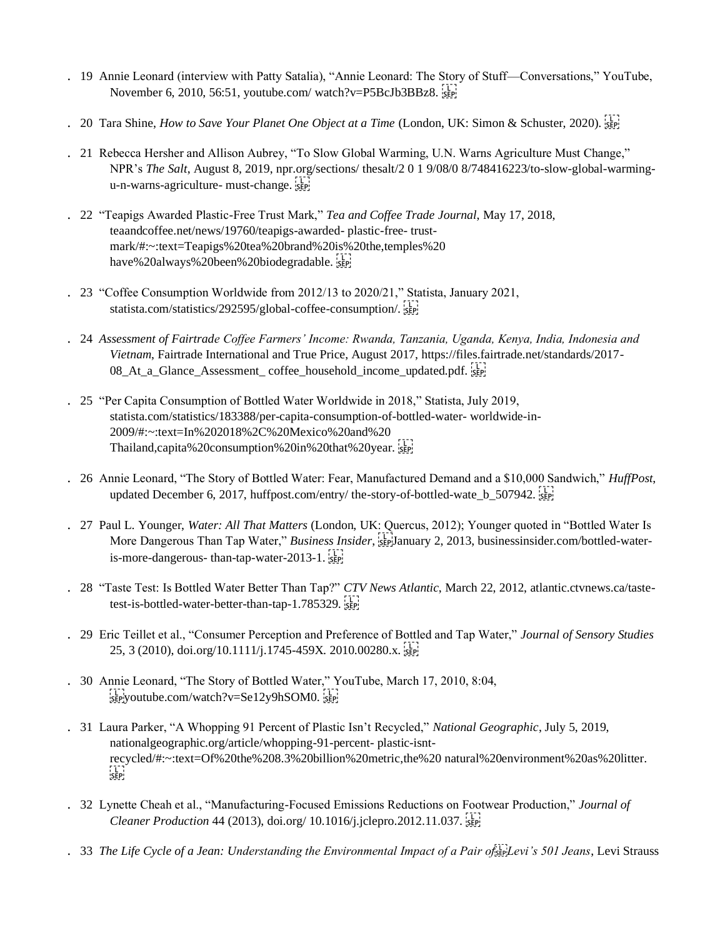- . 19 Annie Leonard (interview with Patty Satalia), "Annie Leonard: The Story of Stuff—Conversations," YouTube, November 6, 2010, 56:51, youtube.com/ watch?v=P5BcJb3BBz8.
- . 20 Tara Shine, *How to Save Your Planet One Object at a Time* (London, UK: Simon & Schuster, 2020).
- . 21 Rebecca Hersher and Allison Aubrey, "To Slow Global Warming, U.N. Warns Agriculture Must Change," NPR's *The Salt*, August 8, 2019, npr.org/sections/ thesalt/2 0 1 9/08/0 8/748416223/to-slow-global-warmingu-n-warns-agriculture- must-change.
- . 22 "Teapigs Awarded Plastic-Free Trust Mark," *Tea and Coffee Trade Journal*, May 17, 2018, teaandcoffee.net/news/19760/teapigs-awarded- plastic-free- trustmark/#:~:text=Teapigs%20tea%20brand%20is%20the,temples%20 have%20always%20been%20biodegradable.
- . 23 "Coffee Consumption Worldwide from 2012/13 to 2020/21," Statista, January 2021, statista.com/statistics/292595/global-coffee-consumption/.
- . 24 *Assessment of Fairtrade Coffee Farmers' Income: Rwanda, Tanzania, Uganda, Kenya, India, Indonesia and Vietnam*, Fairtrade International and True Price, August 2017, https://files.fairtrade.net/standards/2017- 08\_At\_a\_Glance\_Assessment\_coffee\_household\_income\_updated.pdf.
- . 25 "Per Capita Consumption of Bottled Water Worldwide in 2018," Statista, July 2019, statista.com/statistics/183388/per-capita-consumption-of-bottled-water- worldwide-in-2009/#:~:text=In%202018%2C%20Mexico%20and%20 Thailand,capita%20consumption%20in%20that%20year.
- . 26 Annie Leonard, "The Story of Bottled Water: Fear, Manufactured Demand and a \$10,000 Sandwich," *HuffPost*, updated December 6, 2017, huffpost.com/entry/ the-story-of-bottled-wate b 507942.
- . 27 Paul L. Younger, *Water: All That Matters* (London, UK: Quercus, 2012); Younger quoted in "Bottled Water Is More Dangerous Than Tap Water," *Business Insider*, <sup>[17</sup>] anuary 2, 2013, businessinsider.com/bottled-wateris-more-dangerous- than-tap-water-2013-1.
- . 28 "Taste Test: Is Bottled Water Better Than Tap?" *CTV News Atlantic*, March 22, 2012, atlantic.ctvnews.ca/tastetest-is-bottled-water-better-than-tap-1.785329.
- . 29 Eric Teillet et al., "Consumer Perception and Preference of Bottled and Tap Water," *Journal of Sensory Studies*  25, 3 (2010), doi.org/10.1111/j.1745-459X. 2010.00280.x.
- . 30 Annie Leonard, "The Story of Bottled Water," YouTube, March 17, 2010, 8:04,  $\frac{1}{25}$  see youtube.com/watch?v=Se12y9hSOM0.
- . 31 Laura Parker, "A Whopping 91 Percent of Plastic Isn't Recycled," *National Geographic*, July 5, 2019, nationalgeographic.org/article/whopping-91-percent- plastic-isntrecycled/#:~:text=Of%20the%208.3%20billion%20metric,the%20 natural%20environment%20as%20litter.
- . 32 Lynette Cheah et al., "Manufacturing-Focused Emissions Reductions on Footwear Production," *Journal of Cleaner Production* 44 (2013), doi.org/ 10.1016/j.jclepro.2012.11.037.
- . 33 *The Life Cycle of a Jean: Understanding the Environmental Impact of a Pair of strage Jevi's 501 Jeans*, Levi Strauss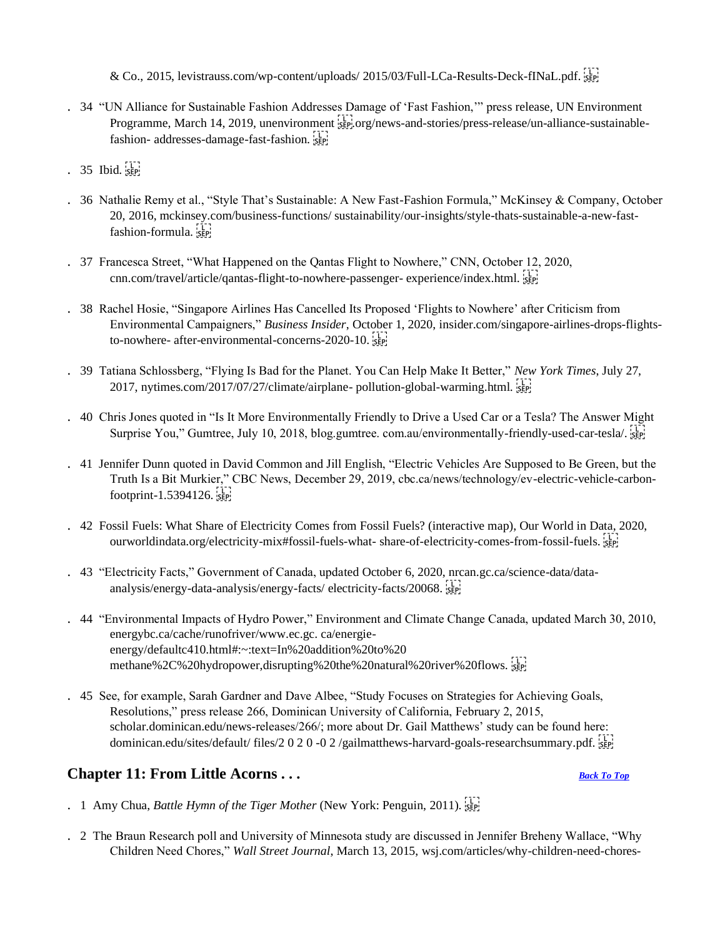& Co., 2015, levistrauss.com/wp-content/uploads/ 2015/03/Full-LCa-Results-Deck-fINaL.pdf. sp

- . 34 "UN Alliance for Sustainable Fashion Addresses Damage of 'Fast Fashion,'" press release, UN Environment Programme, March 14, 2019, unenvironment strategy org/news-and-stories/press-release/un-alliance-sustainablefashion- addresses-damage-fast-fashion.
- $. 35$  Ibid.  $\overline{\text{SEP}}$
- . 36 Nathalie Remy et al., "Style That's Sustainable: A New Fast-Fashion Formula," McKinsey & Company, October 20, 2016, mckinsey.com/business-functions/ sustainability/our-insights/style-thats-sustainable-a-new-fastfashion-formula.
- . 37 Francesca Street, "What Happened on the Qantas Flight to Nowhere," CNN, October 12, 2020, cnn.com/travel/article/qantas-flight-to-nowhere-passenger- experience/index.html.
- . 38 Rachel Hosie, "Singapore Airlines Has Cancelled Its Proposed 'Flights to Nowhere' after Criticism from Environmental Campaigners," *Business Insider*, October 1, 2020, insider.com/singapore-airlines-drops-flightsto-nowhere- after-environmental-concerns-2020-10.
- . 39 Tatiana Schlossberg, "Flying Is Bad for the Planet. You Can Help Make It Better," *New York Times*, July 27, 2017, nytimes.com/2017/07/27/climate/airplane- pollution-global-warming.html.
- . 40 Chris Jones quoted in "Is It More Environmentally Friendly to Drive a Used Car or a Tesla? The Answer Might Surprise You," Gumtree, July 10, 2018, blog.gumtree. com.au/environmentally-friendly-used-car-tesla/.
- . 41 Jennifer Dunn quoted in David Common and Jill English, "Electric Vehicles Are Supposed to Be Green, but the Truth Is a Bit Murkier," CBC News, December 29, 2019, cbc.ca/news/technology/ev-electric-vehicle-carbonfootprint-1.5394126.
- . 42 Fossil Fuels: What Share of Electricity Comes from Fossil Fuels? (interactive map), Our World in Data, 2020, ourworldindata.org/electricity-mix#fossil-fuels-what- share-of-electricity-comes-from-fossil-fuels.
- . 43 "Electricity Facts," Government of Canada, updated October 6, 2020, nrcan.gc.ca/science-data/dataanalysis/energy-data-analysis/energy-facts/ electricity-facts/20068.
- . 44 "Environmental Impacts of Hydro Power," Environment and Climate Change Canada, updated March 30, 2010, energybc.ca/cache/runofriver/www.ec.gc. ca/energieenergy/defaultc410.html#:~:text=In%20addition%20to%20 methane%2C%20hydropower,disrupting%20the%20natural%20river%20flows.
- . 45 See, for example, Sarah Gardner and Dave Albee, "Study Focuses on Strategies for Achieving Goals, Resolutions," press release 266, Dominican University of California, February 2, 2015, scholar.dominican.edu/news-releases/266/; more about Dr. Gail Matthews' study can be found here: dominican.edu/sites/default/ files/2 0 2 0 -0 2 /gailmatthews-harvard-goals-researchsummary.pdf. sep

## <span id="page-30-0"></span>**Chapter 11: From Little Acorns . . .** *[Back To Top](#page-0-0)*

- . 1 Amy Chua, *Battle Hymn of the Tiger Mother* (New York: Penguin, 2011).
- . 2 The Braun Research poll and University of Minnesota study are discussed in Jennifer Breheny Wallace, "Why Children Need Chores," *Wall Street Journal*, March 13, 2015, wsj.com/articles/why-children-need-chores-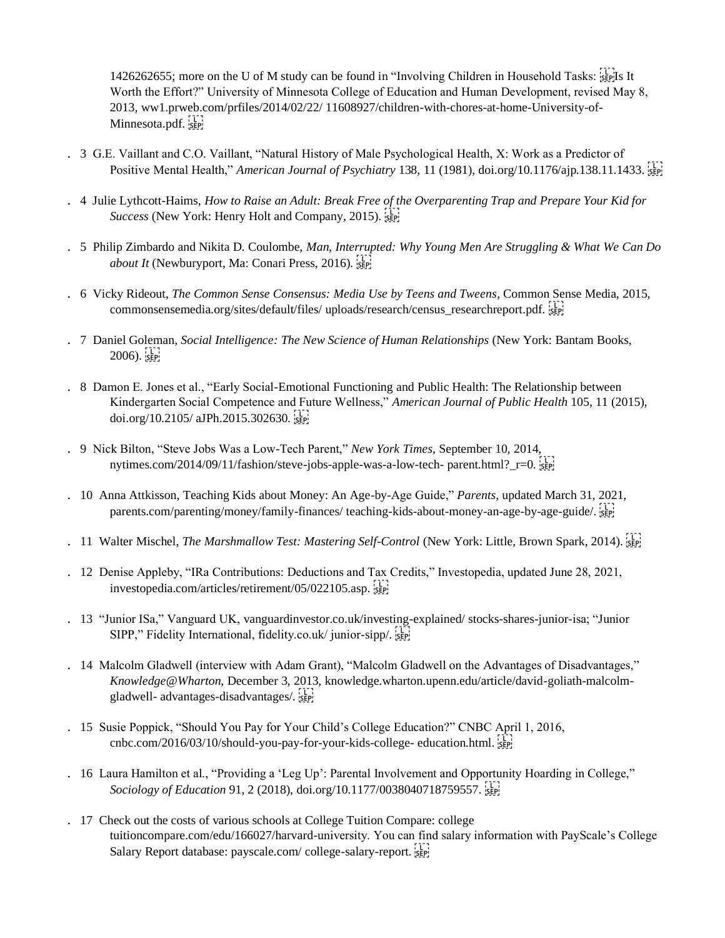1426262655; more on the U of M study can be found in "Involving Children in Household Tasks:  $\frac{1}{15}$  It Worth the Effort?" University of Minnesota College of Education and Human Development, revised May 8, 2013, ww1.prweb.com/prfiles/2014/02/22/ 11608927/children-with-chores-at-home-University-of-Minnesota.pdf. sep

- . 3 G.E. Vaillant and C.O. Vaillant, "Natural History of Male Psychological Health, X: Work as a Predictor of Positive Mental Health," *American Journal of Psychiatry* 138, 11 (1981), doi.org/10.1176/ajp.138.11.1433. <sup>[37]</sup>
- . 4 Julie Lythcott-Haims, *How to Raise an Adult: Break Free of the Overparenting Trap and Prepare Your Kid for Success* (New York: Henry Holt and Company, 2015).
- . 5 Philip Zimbardo and Nikita D. Coulombe, *Man, Interrupted: Why Young Men Are Struggling & What We Can Do about It* (Newburyport, Ma: Conari Press, 2016).
- . 6 Vicky Rideout, *The Common Sense Consensus: Media Use by Teens and Tweens*, Common Sense Media, 2015, commonsensemedia.org/sites/default/files/ uploads/research/census\_researchreport.pdf.
- . 7 Daniel Goleman, *Social Intelligence: The New Science of Human Relationships* (New York: Bantam Books,  $2006$ ).  $55$
- . 8 Damon E. Jones et al., "Early Social-Emotional Functioning and Public Health: The Relationship between Kindergarten Social Competence and Future Wellness," *American Journal of Public Health* 105, 11 (2015), doi.org/10.2105/ aJPh.2015.302630.
- . 9 Nick Bilton, "Steve Jobs Was a Low-Tech Parent," *New York Times*, September 10, 2014, nytimes.com/2014/09/11/fashion/steve-jobs-apple-was-a-low-tech- parent.html?  $r=0$ .
- . 10 Anna Attkisson, Teaching Kids about Money: An Age-by-Age Guide," *Parents*, updated March 31, 2021, parents.com/parenting/money/family-finances/ teaching-kids-about-money-an-age-by-age-guide/.
- . 11 Walter Mischel, *The Marshmallow Test: Mastering Self-Control* (New York: Little, Brown Spark, 2014). SEP!
- . 12 Denise Appleby, "IRa Contributions: Deductions and Tax Credits," Investopedia, updated June 28, 2021, investopedia.com/articles/retirement/05/022105.asp.
- . 13 "Junior ISa," Vanguard UK, vanguardinvestor.co.uk/investing-explained/ stocks-shares-junior-isa; "Junior SIPP," Fidelity International, fidelity.co.uk/ junior-sipp/, see
- . 14 Malcolm Gladwell (interview with Adam Grant), "Malcolm Gladwell on the Advantages of Disadvantages," *Knowledge@Wharton*, December 3, 2013, knowledge.wharton.upenn.edu/article/david-goliath-malcolmgladwell- advantages-disadvantages/.
- . 15 Susie Poppick, "Should You Pay for Your Child's College Education?" CNBC April 1, 2016, cnbc.com/2016/03/10/should-you-pay-for-your-kids-college- education.html.
- . 16 Laura Hamilton et al., "Providing a 'Leg Up': Parental Involvement and Opportunity Hoarding in College," *Sociology of Education* 91, 2 (2018), doi.org/10.1177/0038040718759557.
- . 17 Check out the costs of various schools at College Tuition Compare: college tuitioncompare.com/edu/166027/harvard-university. You can find salary information with PayScale's College Salary Report database: payscale.com/ college-salary-report.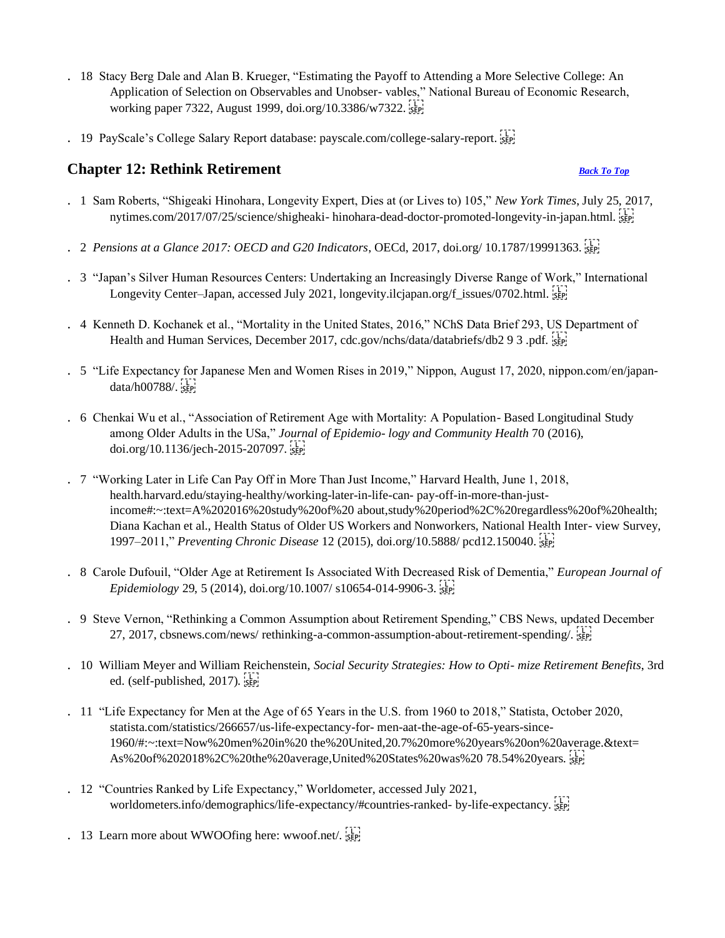- . 18 Stacy Berg Dale and Alan B. Krueger, "Estimating the Payoff to Attending a More Selective College: An Application of Selection on Observables and Unobser- vables," National Bureau of Economic Research, working paper 7322, August 1999, doi.org/10.3386/w7322.
- . 19 PayScale's College Salary Report database: payscale.com/college-salary-report.

## <span id="page-32-0"></span>**Chapter 12: Rethink Retirement** *[Back To Top](#page-0-0)*

- . 1 Sam Roberts, "Shigeaki Hinohara, Longevity Expert, Dies at (or Lives to) 105," *New York Times*, July 25, 2017, nytimes.com/2017/07/25/science/shigheaki- hinohara-dead-doctor-promoted-longevity-in-japan.html.
- . 2 *Pensions at a Glance 2017: OECD and G20 Indicators*, OECd, 2017, doi.org/ 10.1787/19991363.
- . 3 "Japan's Silver Human Resources Centers: Undertaking an Increasingly Diverse Range of Work," International Longevity Center–Japan, accessed July 2021, longevity.ilcjapan.org/f\_issues/0702.html.
- . 4 Kenneth D. Kochanek et al., "Mortality in the United States, 2016," NChS Data Brief 293, US Department of Health and Human Services, December 2017, cdc.gov/nchs/data/databriefs/db2 9 3 .pdf.
- . 5 "Life Expectancy for Japanese Men and Women Rises in 2019," Nippon, August 17, 2020, nippon.com/en/japan $data/h00788/$ .
- . 6 Chenkai Wu et al., "Association of Retirement Age with Mortality: A Population- Based Longitudinal Study among Older Adults in the USa," *Journal of Epidemio- logy and Community Health* 70 (2016), doi.org/10.1136/jech-2015-207097.
- . 7 "Working Later in Life Can Pay Off in More Than Just Income," Harvard Health, June 1, 2018, health.harvard.edu/staying-healthy/working-later-in-life-can- pay-off-in-more-than-justincome#:~:text=A%202016%20study%20of%20 about,study%20period%2C%20regardless%20of%20health; Diana Kachan et al., Health Status of Older US Workers and Nonworkers, National Health Inter- view Survey, 1997–2011," *Preventing Chronic Disease* 12 (2015), doi.org/10.5888/ pcd12.150040.
- . 8 Carole Dufouil, "Older Age at Retirement Is Associated With Decreased Risk of Dementia," *European Journal of Epidemiology* 29, 5 (2014), doi.org/10.1007/ s10654-014-9906-3.
- . 9 Steve Vernon, "Rethinking a Common Assumption about Retirement Spending," CBS News, updated December 27, 2017, cbsnews.com/news/ rethinking-a-common-assumption-about-retirement-spending/.
- . 10 William Meyer and William Reichenstein, *Social Security Strategies: How to Opti- mize Retirement Benefits*, 3rd ed. (self-published, 2017).
- . 11 "Life Expectancy for Men at the Age of 65 Years in the U.S. from 1960 to 2018," Statista, October 2020, statista.com/statistics/266657/us-life-expectancy-for- men-aat-the-age-of-65-years-since-1960/#:~:text=Now%20men%20in%20 the%20United,20.7%20more%20years%20on%20average.&text= As%20of%202018%2C%20the%20average,United%20States%20was%20 78.54%20years.
- . 12 "Countries Ranked by Life Expectancy," Worldometer, accessed July 2021, worldometers.info/demographics/life-expectancy/#countries-ranked- by-life-expectancy.
- . 13 Learn more about WWOOfing here: wwoof.net/.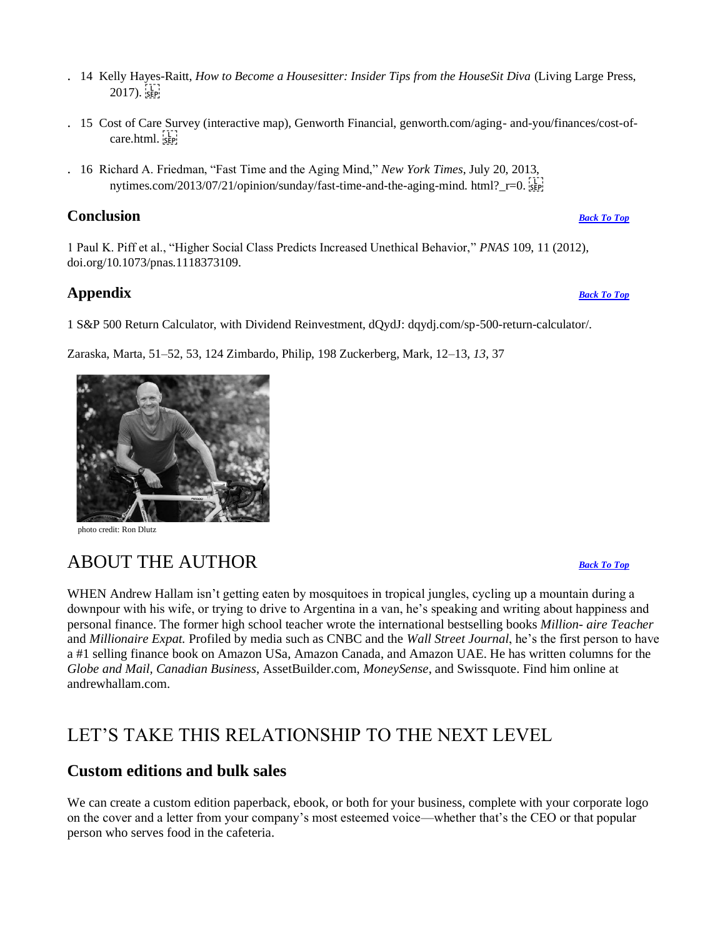- . 14 Kelly Hayes-Raitt, *How to Become a Housesitter: Insider Tips from the HouseSit Diva* (Living Large Press,  $2017$ ).  $\frac{1}{55}$
- . 15 Cost of Care Survey (interactive map), Genworth Financial, genworth.com/aging- and-you/finances/cost-ofcare.html. $\frac{1}{35}$
- . 16 Richard A. Friedman, "Fast Time and the Aging Mind," *New York Times*, July 20, 2013, nytimes.com/2013/07/21/opinion/sunday/fast-time-and-the-aging-mind. html? r=0.

## **Conclusion** *[Back To Top](#page-0-0)*

1 Paul K. Piff et al., "Higher Social Class Predicts Increased Unethical Behavior," *PNAS* 109, 11 (2012), doi.org/10.1073/pnas.1118373109.

## **Appendix** *[Back To Top](#page-0-0)*

1 S&P 500 Return Calculator, with Dividend Reinvestment, dQydJ: dqydj.com/sp-500-return-calculator/.

Zaraska, Marta, 51–52, 53, 124 Zimbardo, Philip, 198 Zuckerberg, Mark, 12–13, *13*, 37

<span id="page-33-0"></span>ABOUT THE AUTHOR *[Back To Top](#page-0-0)*

WHEN Andrew Hallam isn't getting eaten by mosquitoes in tropical jungles, cycling up a mountain during a downpour with his wife, or trying to drive to Argentina in a van, he's speaking and writing about happiness and personal finance. The former high school teacher wrote the international bestselling books *Million- aire Teacher*  and *Millionaire Expat.* Profiled by media such as CNBC and the *Wall Street Journal*, he's the first person to have a #1 selling finance book on Amazon USa, Amazon Canada, and Amazon UAE. He has written columns for the *Globe and Mail, Canadian Business*, AssetBuilder.com, *MoneySense*, and Swissquote. Find him online at andrewhallam.com.

# LET'S TAKE THIS RELATIONSHIP TO THE NEXT LEVEL

## **Custom editions and bulk sales**

We can create a custom edition paperback, ebook, or both for your business, complete with your corporate logo on the cover and a letter from your company's most esteemed voice—whether that's the CEO or that popular person who serves food in the cafeteria.



<span id="page-33-1"></span>